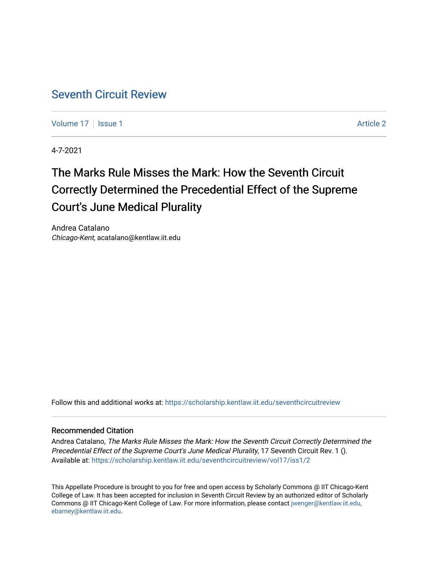## [Seventh Circuit Review](https://scholarship.kentlaw.iit.edu/seventhcircuitreview)

[Volume 17](https://scholarship.kentlaw.iit.edu/seventhcircuitreview/vol17) | [Issue 1](https://scholarship.kentlaw.iit.edu/seventhcircuitreview/vol17/iss1) Article 2

4-7-2021

# The Marks Rule Misses the Mark: How the Seventh Circuit Correctly Determined the Precedential Effect of the Supreme Court's June Medical Plurality

Andrea Catalano Chicago-Kent, acatalano@kentlaw.iit.edu

Follow this and additional works at: [https://scholarship.kentlaw.iit.edu/seventhcircuitreview](https://scholarship.kentlaw.iit.edu/seventhcircuitreview?utm_source=scholarship.kentlaw.iit.edu%2Fseventhcircuitreview%2Fvol17%2Fiss1%2F2&utm_medium=PDF&utm_campaign=PDFCoverPages) 

#### Recommended Citation

Andrea Catalano, The Marks Rule Misses the Mark: How the Seventh Circuit Correctly Determined the Precedential Effect of the Supreme Court's June Medical Plurality, 17 Seventh Circuit Rev. 1 (). Available at: [https://scholarship.kentlaw.iit.edu/seventhcircuitreview/vol17/iss1/2](https://scholarship.kentlaw.iit.edu/seventhcircuitreview/vol17/iss1/2?utm_source=scholarship.kentlaw.iit.edu%2Fseventhcircuitreview%2Fvol17%2Fiss1%2F2&utm_medium=PDF&utm_campaign=PDFCoverPages) 

This Appellate Procedure is brought to you for free and open access by Scholarly Commons @ IIT Chicago-Kent College of Law. It has been accepted for inclusion in Seventh Circuit Review by an authorized editor of Scholarly Commons @ IIT Chicago-Kent College of Law. For more information, please contact [jwenger@kentlaw.iit.edu,](mailto:jwenger@kentlaw.iit.edu,%20ebarney@kentlaw.iit.edu)  [ebarney@kentlaw.iit.edu](mailto:jwenger@kentlaw.iit.edu,%20ebarney@kentlaw.iit.edu).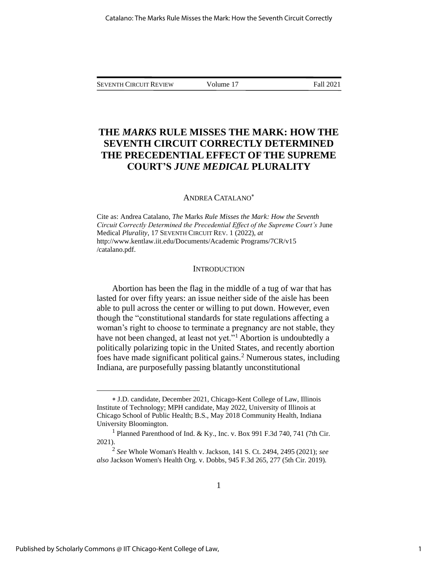SEVENTH CIRCUIT REVIEW Volume 17 Fall 2021

### **THE** *MARKS* **RULE MISSES THE MARK: HOW THE SEVENTH CIRCUIT CORRECTLY DETERMINED THE PRECEDENTIAL EFFECT OF THE SUPREME COURT'S** *JUNE MEDICAL* **PLURALITY**

#### ANDREA CATALANO

Cite as: Andrea Catalano, *The* Marks *Rule Misses the Mark: How the Seventh Circuit Correctly Determined the Precedential Effect of the Supreme Court's* June Medical *Plurality*, 17 SEVENTH CIRCUIT REV. 1 (2022), *at*  http://www.kentlaw.iit.edu/Documents/Academic Programs/7CR/v15 /catalano.pdf.

#### **INTRODUCTION**

Abortion has been the flag in the middle of a tug of war that has lasted for over fifty years: an issue neither side of the aisle has been able to pull across the center or willing to put down. However, even though the "constitutional standards for state regulations affecting a woman's right to choose to terminate a pregnancy are not stable, they have not been changed, at least not yet."<sup>1</sup> Abortion is undoubtedly a politically polarizing topic in the United States, and recently abortion foes have made significant political gains.<sup>2</sup> Numerous states, including Indiana, are purposefully passing blatantly unconstitutional

J.D. candidate, December 2021, Chicago-Kent College of Law, Illinois Institute of Technology; MPH candidate, May 2022, University of Illinois at Chicago School of Public Health; B.S., May 2018 Community Health, Indiana University Bloomington.

<sup>&</sup>lt;sup>1</sup> Planned Parenthood of Ind. & Ky., Inc. v. Box 991 F.3d 740, 741 (7th Cir. 2021).

<sup>2</sup> *See* Whole Woman's Health v. Jackson, 141 S. Ct. 2494, 2495 (2021); *see also* Jackson Women's Health Org. v. Dobbs, 945 F.3d 265, 277 (5th Cir. 2019).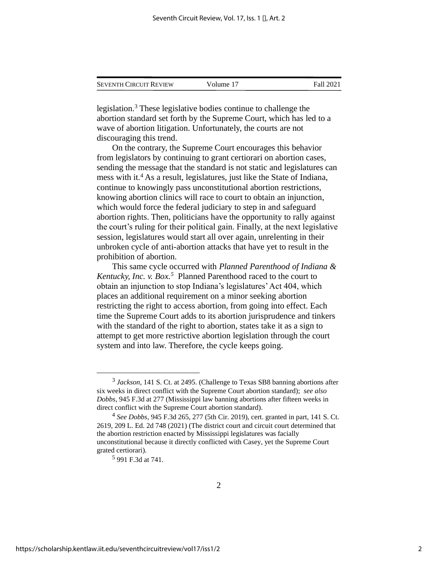| <b>SEVENTH CIRCUIT REVIEW</b> | Volume 17 | Fall 2021 |
|-------------------------------|-----------|-----------|
|                               |           |           |

legislation.<sup>3</sup> These legislative bodies continue to challenge the abortion standard set forth by the Supreme Court, which has led to a wave of abortion litigation. Unfortunately, the courts are not discouraging this trend.

On the contrary, the Supreme Court encourages this behavior from legislators by continuing to grant certiorari on abortion cases, sending the message that the standard is not static and legislatures can mess with it.<sup>4</sup> As a result, legislatures, just like the State of Indiana, continue to knowingly pass unconstitutional abortion restrictions, knowing abortion clinics will race to court to obtain an injunction, which would force the federal judiciary to step in and safeguard abortion rights. Then, politicians have the opportunity to rally against the court's ruling for their political gain. Finally, at the next legislative session, legislatures would start all over again, unrelenting in their unbroken cycle of anti-abortion attacks that have yet to result in the prohibition of abortion.

This same cycle occurred with *Planned Parenthood of Indiana & Kentucky, Inc. v. Box. 5* Planned Parenthood raced to the court to obtain an injunction to stop Indiana's legislatures' Act 404, which places an additional requirement on a minor seeking abortion restricting the right to access abortion, from going into effect. Each time the Supreme Court adds to its abortion jurisprudence and tinkers with the standard of the right to abortion, states take it as a sign to attempt to get more restrictive abortion legislation through the court system and into law. Therefore, the cycle keeps going.

<sup>&</sup>lt;sup>3</sup> Jackson, 141 S. Ct. at 2495. (Challenge to Texas SB8 banning abortions after six weeks in direct conflict with the Supreme Court abortion standard); *see also Dobbs*, 945 F.3d at 277 (Mississippi law banning abortions after fifteen weeks in direct conflict with the Supreme Court abortion standard).

<sup>4</sup> *See Dobbs*, 945 F.3d 265, 277 (5th Cir. 2019), cert. granted in part, 141 S. Ct. 2619, 209 L. Ed. 2d 748 (2021) (The district court and circuit court determined that the abortion restriction enacted by Mississippi legislatures was facially unconstitutional because it directly conflicted with Casey, yet the Supreme Court grated certiorari).

<sup>5</sup> 991 F.3d at 741.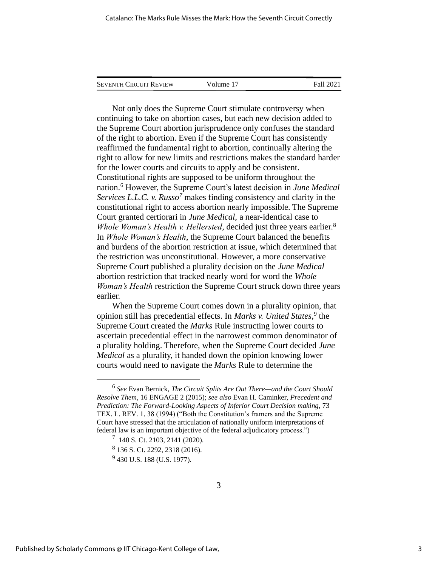| <b>SEVENTH CIRCUIT REVIEW</b> | Volume 17 | Fall 2021 |
|-------------------------------|-----------|-----------|
|                               |           |           |

Not only does the Supreme Court stimulate controversy when continuing to take on abortion cases, but each new decision added to the Supreme Court abortion jurisprudence only confuses the standard of the right to abortion. Even if the Supreme Court has consistently reaffirmed the fundamental right to abortion, continually altering the right to allow for new limits and restrictions makes the standard harder for the lower courts and circuits to apply and be consistent. Constitutional rights are supposed to be uniform throughout the nation.<sup>6</sup> However, the Supreme Court's latest decision in *June Medical Services L.L.C. v. Russo<sup>7</sup>* makes finding consistency and clarity in the constitutional right to access abortion nearly impossible. The Supreme Court granted certiorari in *June Medical,* a near-identical case to Whole Woman's Health v. Hellersted, decided just three years earlier.<sup>8</sup> In *Whole Woman's Health*, the Supreme Court balanced the benefits and burdens of the abortion restriction at issue, which determined that the restriction was unconstitutional. However, a more conservative Supreme Court published a plurality decision on the *June Medical* abortion restriction that tracked nearly word for word the *Whole Woman's Health* restriction the Supreme Court struck down three years earlier.

When the Supreme Court comes down in a plurality opinion, that opinion still has precedential effects. In *Marks v. United States*,<sup>9</sup> the Supreme Court created the *Marks* Rule instructing lower courts to ascertain precedential effect in the narrowest common denominator of a plurality holding. Therefore, when the Supreme Court decided *June Medical* as a plurality, it handed down the opinion knowing lower courts would need to navigate the *Marks* Rule to determine the

<sup>6</sup> *See* Evan Bernick, *The Circuit Splits Are Out There—and the Court Should Resolve Them*, 16 ENGAGE 2 (2015); *see also* Evan H. Caminker, *Precedent and Prediction: The Forward-Looking Aspects of Inferior Court Decision making*, 73 TEX. L. REV. 1, 38 (1994) ("Both the Constitution's framers and the Supreme Court have stressed that the articulation of nationally uniform interpretations of federal law is an important objective of the federal adjudicatory process.")

<sup>7</sup> 140 S. Ct. 2103, 2141 (2020).

<sup>8</sup> 136 S. Ct. 2292, 2318 (2016).

<sup>&</sup>lt;sup>9</sup> 430 U.S. 188 (U.S. 1977).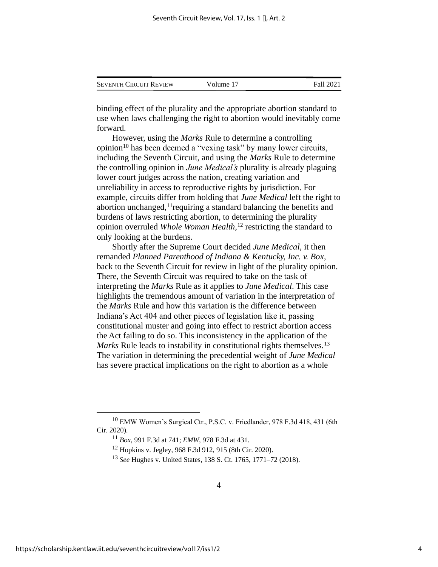|  | <b>SEVENTH CIRCUIT REVIEW</b> | Volume 17 | Fall 2021 |
|--|-------------------------------|-----------|-----------|
|--|-------------------------------|-----------|-----------|

binding effect of the plurality and the appropriate abortion standard to use when laws challenging the right to abortion would inevitably come forward.

However, using the *Marks* Rule to determine a controlling opinion<sup>10</sup> has been deemed a "vexing task" by many lower circuits, including the Seventh Circuit, and using the *Marks* Rule to determine the controlling opinion in *June Medical's* plurality is already plaguing lower court judges across the nation, creating variation and unreliability in access to reproductive rights by jurisdiction. For example, circuits differ from holding that *June Medical* left the right to abortion unchanged,<sup>11</sup> requiring a standard balancing the benefits and burdens of laws restricting abortion, to determining the plurality opinion overruled *Whole Woman Health,*<sup>12</sup> restricting the standard to only looking at the burdens.

Shortly after the Supreme Court decided *June Medical*, it then remanded *Planned Parenthood of Indiana & Kentucky, Inc. v. Box,*  back to the Seventh Circuit for review in light of the plurality opinion. There, the Seventh Circuit was required to take on the task of interpreting the *Marks* Rule as it applies to *June Medical*. This case highlights the tremendous amount of variation in the interpretation of the *Marks* Rule and how this variation is the difference between Indiana's Act 404 and other pieces of legislation like it, passing constitutional muster and going into effect to restrict abortion access the Act failing to do so. This inconsistency in the application of the *Marks* Rule leads to instability in constitutional rights themselves.<sup>13</sup> The variation in determining the precedential weight of *June Medical* has severe practical implications on the right to abortion as a whole

<sup>&</sup>lt;sup>10</sup> EMW Women's Surgical Ctr., P.S.C. v. Friedlander, 978 F.3d 418, 431 (6th Cir. 2020).

<sup>11</sup> *Box*, 991 F.3d at 741; *EMW*, 978 F.3d at 431.

<sup>12</sup> Hopkins v. Jegley, 968 F.3d 912, 915 (8th Cir. 2020).

<sup>13</sup> *See* Hughes v. United States, 138 S. Ct. 1765, 1771–72 (2018).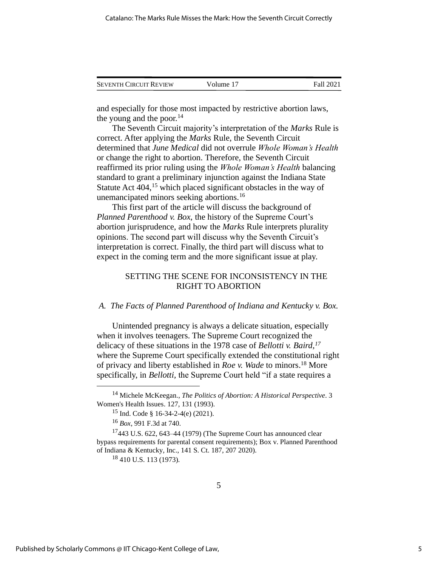| <b>SEVENTH CIRCUIT REVIEW</b> | Volume 17 | Fall 2021 |
|-------------------------------|-----------|-----------|
|                               |           |           |

and especially for those most impacted by restrictive abortion laws, the young and the poor. $14$ 

The Seventh Circuit majority's interpretation of the *Marks* Rule is correct. After applying the *Marks* Rule, the Seventh Circuit determined that *June Medical* did not overrule *Whole Woman's Health* or change the right to abortion. Therefore, the Seventh Circuit reaffirmed its prior ruling using the *Whole Woman's Health* balancing standard to grant a preliminary injunction against the Indiana State Statute Act 404,<sup>15</sup> which placed significant obstacles in the way of unemancipated minors seeking abortions.<sup>16</sup>

This first part of the article will discuss the background of *Planned Parenthood v. Box*, the history of the Supreme Court's abortion jurisprudence, and how the *Marks* Rule interprets plurality opinions. The second part will discuss why the Seventh Circuit's interpretation is correct. Finally, the third part will discuss what to expect in the coming term and the more significant issue at play.

#### SETTING THE SCENE FOR INCONSISTENCY IN THE RIGHT TO ABORTION

#### *A. The Facts of Planned Parenthood of Indiana and Kentucky v. Box.*

Unintended pregnancy is always a delicate situation, especially when it involves teenagers. The Supreme Court recognized the delicacy of these situations in the 1978 case of *Bellotti v. Baird, 17* where the Supreme Court specifically extended the constitutional right of privacy and liberty established in *Roe v. Wade* to minors. <sup>18</sup> More specifically, in *Bellotti,* the Supreme Court held "if a state requires a

<sup>14</sup> Michele McKeegan., *The Politics of Abortion: A Historical Perspective*. 3 Women's Health Issues. 127, 131 (1993).

<sup>&</sup>lt;sup>15</sup> Ind. Code § 16-34-2-4(e)  $(2021)$ .

<sup>16</sup> *Box*, 991 F.3d at 740.

 $17443$  U.S. 622, 643–44 (1979) (The Supreme Court has announced clear bypass requirements for parental consent requirements); Box v. Planned Parenthood of Indiana & Kentucky, Inc., 141 S. Ct. 187, 207 2020).

 $18$  410 U.S. 113 (1973).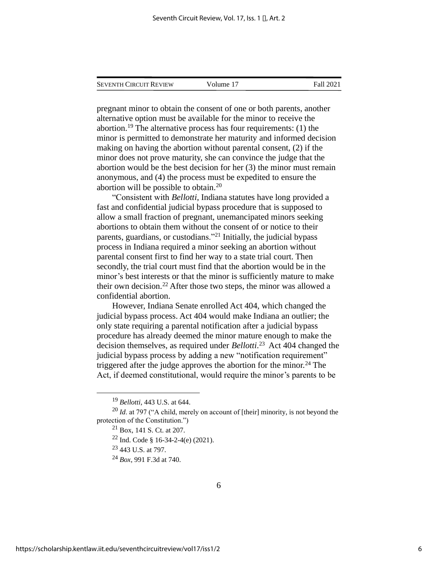| <b>SEVENTH CIRCUIT REVIEW</b> | Volume 17 | <b>Fall 2021</b> |
|-------------------------------|-----------|------------------|
|                               |           |                  |

pregnant minor to obtain the consent of one or both parents, another alternative option must be available for the minor to receive the abortion.<sup>19</sup> The alternative process has four requirements: (1) the minor is permitted to demonstrate her maturity and informed decision making on having the abortion without parental consent, (2) if the minor does not prove maturity, she can convince the judge that the abortion would be the best decision for her (3) the minor must remain anonymous, and (4) the process must be expedited to ensure the abortion will be possible to obtain.<sup>20</sup>

"Consistent with *Bellotti*, Indiana statutes have long provided a fast and confidential judicial bypass procedure that is supposed to allow a small fraction of pregnant, unemancipated minors seeking abortions to obtain them without the consent of or notice to their parents, guardians, or custodians."<sup>21</sup> Initially, the judicial bypass process in Indiana required a minor seeking an abortion without parental consent first to find her way to a state trial court. Then secondly, the trial court must find that the abortion would be in the minor's best interests or that the minor is sufficiently mature to make their own decision.<sup>22</sup> After those two steps, the minor was allowed a confidential abortion.

However, Indiana Senate enrolled Act 404, which changed the judicial bypass process. Act 404 would make Indiana an outlier; the only state requiring a parental notification after a judicial bypass procedure has already deemed the minor mature enough to make the decision themselves, as required under *Bellotti*. 23 Act 404 changed the judicial bypass process by adding a new "notification requirement" triggered after the judge approves the abortion for the minor.<sup>24</sup> The Act, if deemed constitutional, would require the minor's parents to be

<sup>19</sup> *Bellotti*, 443 U.S. at 644.

<sup>&</sup>lt;sup>20</sup> *Id.* at 797 ("A child, merely on account of [their] minority, is not beyond the protection of the Constitution.")

<sup>21</sup> Box, 141 S. Ct. at 207.

 $22$  Ind. Code § 16-34-2-4(e) (2021).

<sup>23</sup> 443 U.S. at 797.

<sup>24</sup> *Box*, 991 F.3d at 740.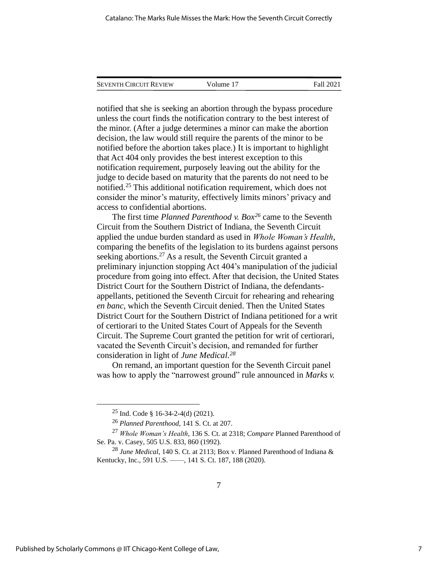| <b>SEVENTH CIRCUIT REVIEW</b> | Volume 17 | Fall 2021 |
|-------------------------------|-----------|-----------|
|                               |           |           |

notified that she is seeking an abortion through the bypass procedure unless the court finds the notification contrary to the best interest of the minor. (After a judge determines a minor can make the abortion decision, the law would still require the parents of the minor to be notified before the abortion takes place.) It is important to highlight that Act 404 only provides the best interest exception to this notification requirement, purposely leaving out the ability for the judge to decide based on maturity that the parents do not need to be notified. <sup>25</sup> This additional notification requirement, which does not consider the minor's maturity, effectively limits minors' privacy and access to confidential abortions.

The first time *Planned Parenthood v. Box<sup>26</sup>* came to the Seventh Circuit from the Southern District of Indiana, the Seventh Circuit applied the undue burden standard as used in *Whole Woman's Health*, comparing the benefits of the legislation to its burdens against persons seeking abortions.<sup>27</sup> As a result, the Seventh Circuit granted a preliminary injunction stopping Act 404's manipulation of the judicial procedure from going into effect. After that decision, the United States District Court for the Southern District of Indiana, the defendantsappellants, petitioned the Seventh Circuit for rehearing and rehearing *en banc*, which the Seventh Circuit denied. Then the United States District Court for the Southern District of Indiana petitioned for a writ of certiorari to the United States Court of Appeals for the Seventh Circuit. The Supreme Court granted the petition for writ of certiorari, vacated the Seventh Circuit's decision, and remanded for further consideration in light of *June Medical. 28*

On remand, an important question for the Seventh Circuit panel was how to apply the "narrowest ground" rule announced in *Marks v.* 

<sup>&</sup>lt;sup>25</sup> Ind. Code § 16-34-2-4(d) (2021).

<sup>26</sup> *Planned Parenthood*, 141 S. Ct. at 207.

<sup>27</sup> *Whole Woman's Health*, 136 S. Ct. at 2318; *Compare* Planned Parenthood of Se. Pa. v. Casey, 505 U.S. 833, 860 (1992).

<sup>28</sup> *June Medical*, 140 S. Ct. at 2113; Box v. Planned Parenthood of Indiana & Kentucky, Inc., 591 U.S. ——, 141 S. Ct. 187, 188 (2020).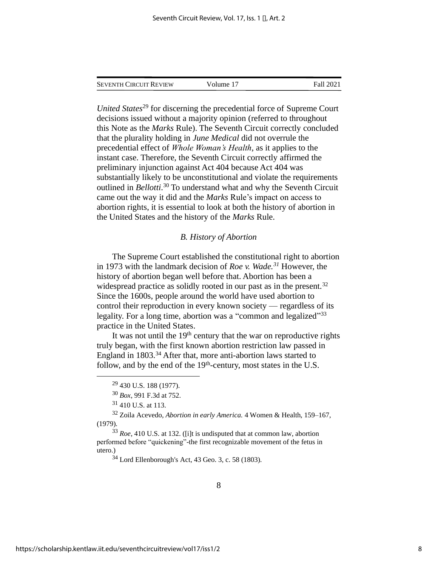| <b>SEVENTH CIRCUIT REVIEW</b> | Volume 17 | Fall 2021 |
|-------------------------------|-----------|-----------|
|                               |           |           |

*United States*<sup>29</sup> for discerning the precedential force of Supreme Court decisions issued without a majority opinion (referred to throughout this Note as the *Marks* Rule). The Seventh Circuit correctly concluded that the plurality holding in *June Medical* did not overrule the precedential effect of *Whole Woman's Health*, as it applies to the instant case. Therefore, the Seventh Circuit correctly affirmed the preliminary injunction against Act 404 because Act 404 was substantially likely to be unconstitutional and violate the requirements outlined in *Bellotti*. <sup>30</sup> To understand what and why the Seventh Circuit came out the way it did and the *Marks* Rule's impact on access to abortion rights, it is essential to look at both the history of abortion in the United States and the history of the *Marks* Rule.

#### *B. History of Abortion*

The Supreme Court established the constitutional right to abortion in 1973 with the landmark decision of *Roe v. Wade.<sup>31</sup>* However, the history of abortion began well before that. Abortion has been a widespread practice as solidly rooted in our past as in the present.<sup>32</sup> Since the 1600s, people around the world have used abortion to control their reproduction in every known society — regardless of its legality. For a long time, abortion was a "common and legalized"<sup>33</sup> practice in the United States.

It was not until the 19<sup>th</sup> century that the war on reproductive rights truly began, with the first known abortion restriction law passed in England in 1803. <sup>34</sup> After that, more anti-abortion laws started to follow, and by the end of the  $19<sup>th</sup>$ -century, most states in the U.S.

 $29$  430 U.S. 188 (1977).

<sup>30</sup> *Box*, 991 F.3d at 752.

 $31$  410 U.S. at 113.

<sup>32</sup> Zoila Acevedo, *Abortion in early America.* 4 Women & Health, 159–167, (1979).

<sup>33</sup> *Roe*, 410 U.S. at 132. ([i]t is undisputed that at common law, abortion performed before "quickening"-the first recognizable movement of the fetus in utero.)

 $34$  Lord Ellenborough's Act, 43 Geo. 3, c. 58 (1803).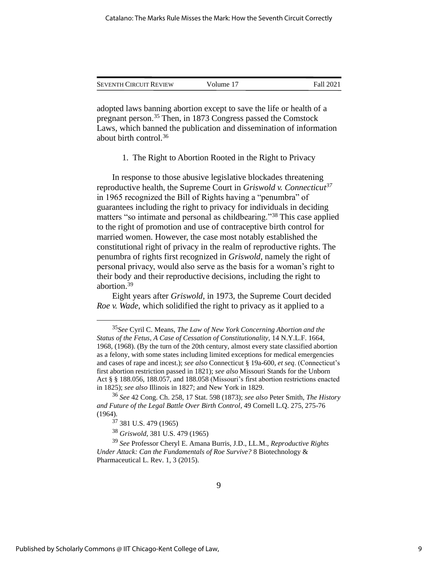| <b>SEVENTH CIRCUIT REVIEW</b> | Volume 17 | Fall 2021 |
|-------------------------------|-----------|-----------|
|                               |           |           |

adopted laws banning abortion except to save the life or health of a pregnant person. <sup>35</sup> Then, in 1873 Congress passed the Comstock Laws, which banned the publication and dissemination of information about birth control.<sup>36</sup>

1. The Right to Abortion Rooted in the Right to Privacy

In response to those abusive legislative blockades threatening reproductive health, the Supreme Court in *Griswold v. Connecticut<sup>37</sup>* in 1965 recognized the Bill of Rights having a "penumbra" of guarantees including the right to privacy for individuals in deciding matters "so intimate and personal as childbearing."<sup>38</sup> This case applied to the right of promotion and use of contraceptive birth control for married women. However, the case most notably established the constitutional right of privacy in the realm of reproductive rights. The penumbra of rights first recognized in *Griswold,* namely the right of personal privacy, would also serve as the basis for a woman's right to their body and their reproductive decisions, including the right to abortion.<sup>39</sup>

Eight years after *Griswold*, in 1973, the Supreme Court decided *Roe v. Wade*, which solidified the right to privacy as it applied to a

<sup>35</sup>*See* Cyril C. Means, *The Law of New York Concerning Abortion and the Status of the Fetus*, *A Case of Cessation of Constitutionality*, 14 N.Y.L.F. 1664, 1968, (1968). (By the turn of the 20th century, almost every state classified abortion as a felony, with some states including limited exceptions for medical emergencies and cases of rape and incest.); *see also* Connecticut § 19a-600, *et seq*. (Connecticut's first abortion restriction passed in 1821); *see also* Missouri Stands for the Unborn Act § § 188.056, 188.057, and 188.058 (Missouri's first abortion restrictions enacted in 1825); *see also* Illinois in 1827; and New York in 1829.

<sup>36</sup> *See* 42 Cong. Ch. 258, 17 Stat. 598 (1873); *see also* Peter Smith, *The History and Future of the Legal Battle Over Birth Control*, 49 Cornell L.Q. 275, 275-76 (1964).

<sup>37</sup> 381 U.S. 479 (1965)

<sup>38</sup> *Griswold*, 381 U.S. 479 (1965)

<sup>39</sup> *See* Professor Cheryl E. Amana Burris, J.D., LL.M., *Reproductive Rights Under Attack: Can the Fundamentals of Roe Survive?* 8 Biotechnology & Pharmaceutical L. Rev. 1, 3 (2015).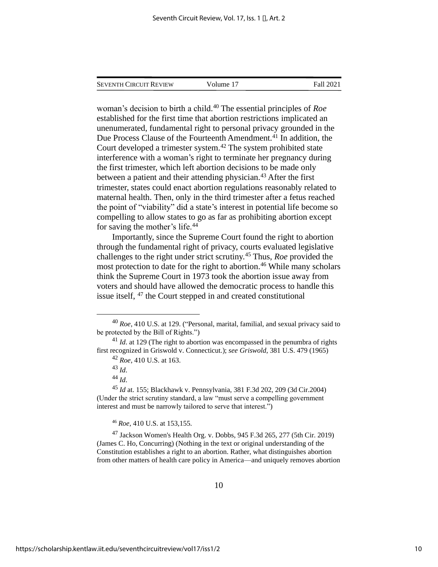| <b>SEVENTH CIRCUIT REVIEW</b> | Volume 17 | <b>Fall 2021</b> |
|-------------------------------|-----------|------------------|
|                               |           |                  |

woman's decision to birth a child. <sup>40</sup> The essential principles of *Roe* established for the first time that abortion restrictions implicated an unenumerated, fundamental right to personal privacy grounded in the Due Process Clause of the Fourteenth Amendment. <sup>41</sup> In addition, the Court developed a trimester system. <sup>42</sup> The system prohibited state interference with a woman's right to terminate her pregnancy during the first trimester, which left abortion decisions to be made only between a patient and their attending physician. <sup>43</sup> After the first trimester, states could enact abortion regulations reasonably related to maternal health. Then, only in the third trimester after a fetus reached the point of "viability" did a state's interest in potential life become so compelling to allow states to go as far as prohibiting abortion except for saving the mother's life.<sup>44</sup>

Importantly, since the Supreme Court found the right to abortion through the fundamental right of privacy, courts evaluated legislative challenges to the right under strict scrutiny.<sup>45</sup> Thus, *Roe* provided the most protection to date for the right to abortion. <sup>46</sup> While many scholars think the Supreme Court in 1973 took the abortion issue away from voters and should have allowed the democratic process to handle this issue itself, <sup>47</sup> the Court stepped in and created constitutional

<sup>40</sup> *Roe*, 410 U.S. at 129. ("Personal, marital, familial, and sexual privacy said to be protected by the Bill of Rights.")

<sup>&</sup>lt;sup>41</sup> *Id*. at 129 (The right to abortion was encompassed in the penumbra of rights first recognized in Griswold v. Connecticut.); *see Griswold*, 381 U.S. 479 (1965)

<sup>42</sup> *Roe*, 410 U.S. at 163.

<sup>43</sup> *Id*.

<sup>44</sup> *Id*.

<sup>45</sup> *Id* at. 155; Blackhawk v. Pennsylvania, 381 F.3d 202, 209 (3d Cir.2004) (Under the strict scrutiny standard, a law "must serve a compelling government interest and must be narrowly tailored to serve that interest.")

<sup>46</sup> *Roe*, 410 U.S. at 153,155.

 $^{47}$  Jackson Women's Health Org. v. Dobbs, 945 F.3d 265, 277 (5th Cir. 2019) (James C. Ho, Concurring) (Nothing in the text or original understanding of the Constitution establishes a right to an abortion. Rather, what distinguishes abortion from other matters of health care policy in America—and uniquely removes abortion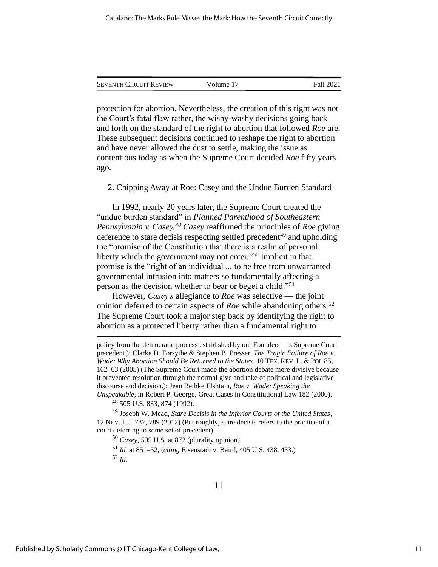| <b>SEVENTH CIRCUIT REVIEW</b> | Volume 17 | Fall 2021 |
|-------------------------------|-----------|-----------|
|                               |           |           |

protection for abortion. Nevertheless, the creation of this right was not the Court's fatal flaw rather, the wishy-washy decisions going back and forth on the standard of the right to abortion that followed *Roe* are. These subsequent decisions continued to reshape the right to abortion and have never allowed the dust to settle, making the issue as contentious today as when the Supreme Court decided *Roe* fifty years ago.

2. Chipping Away at Roe: Casey and the Undue Burden Standard

In 1992, nearly 20 years later, the Supreme Court created the "undue burden standard" in *Planned Parenthood of Southeastern Pennsylvania v. Casey.<sup>48</sup> Casey* reaffirmed the principles of *Roe* giving deference to stare decisis respecting settled precedent<sup>49</sup> and upholding the "promise of the Constitution that there is a realm of personal liberty which the government may not enter."<sup>50</sup> Implicit in that promise is the "right of an individual ... to be free from unwarranted governmental intrusion into matters so fundamentally affecting a person as the decision whether to bear or beget a child."<sup>51</sup>

However, *Casey's* allegiance to *Roe* was selective — the joint opinion deferred to certain aspects of *Roe* while abandoning others.<sup>52</sup> The Supreme Court took a major step back by identifying the right to abortion as a protected liberty rather than a fundamental right to

 $^{48}$  505 U.S. 833, 874 (1992).

<sup>49</sup> Joseph W. Mead, *Stare Decisis in the Inferior Courts of the United States*, 12 NEV. L.J. 787, 789 (2012) (Put roughly, stare decisis refers to the practice of a court deferring to some set of precedent).

<sup>50</sup> *Casey*, 505 U.S. at 872 (plurality opinion).

<sup>51</sup> *Id.* at 851–52, (*citing* Eisenstadt v. Baird, 405 U.S. 438, 453.) <sup>52</sup> *Id*.

policy from the democratic process established by our Founders—is Supreme Court precedent.); Clarke D. Forsythe & Stephen B. Presser, *The Tragic Failure of Roe v. Wade: Why Abortion Should Be Returned to the States*, 10 TEX. REV. L. & POL 85, 162–63 (2005) (The Supreme Court made the abortion debate more divisive because it prevented resolution through the normal give and take of political and legislative discourse and decision.); Jean Bethke Elshtain, *Roe v. Wade: Speaking the Unspeakable*, in Robert P. George, Great Cases in Constitutional Law 182 (2000).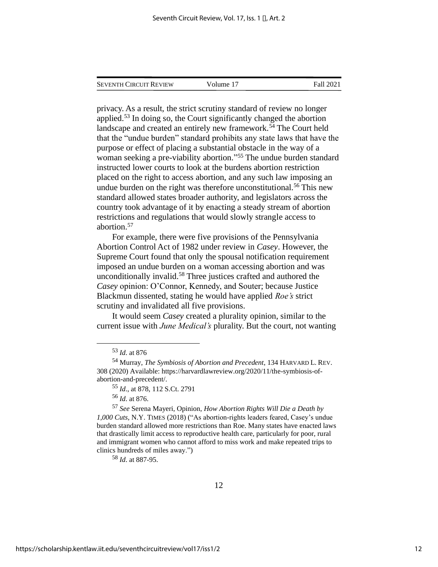| Seventh Circuit Review | Volume 17 | Fall 2021 |
|------------------------|-----------|-----------|
|                        |           |           |

privacy. As a result, the strict scrutiny standard of review no longer applied.<sup>53</sup> In doing so, the Court significantly changed the abortion landscape and created an entirely new framework.<sup>54</sup> The Court held that the "undue burden" standard prohibits any state laws that have the purpose or effect of placing a substantial obstacle in the way of a woman seeking a pre-viability abortion." <sup>55</sup> The undue burden standard instructed lower courts to look at the burdens abortion restriction placed on the right to access abortion, and any such law imposing an undue burden on the right was therefore unconstitutional.<sup>56</sup> This new standard allowed states broader authority, and legislators across the country took advantage of it by enacting a steady stream of abortion restrictions and regulations that would slowly strangle access to abortion.<sup>57</sup>

For example, there were five provisions of the Pennsylvania Abortion Control Act of 1982 under review in *Casey*. However, the Supreme Court found that only the spousal notification requirement imposed an undue burden on a woman accessing abortion and was unconditionally invalid. <sup>58</sup> Three justices crafted and authored the *Casey* opinion: O'Connor, Kennedy, and Souter; because Justice Blackmun dissented, stating he would have applied *Roe's* strict scrutiny and invalidated all five provisions.

It would seem *Casey* created a plurality opinion, similar to the current issue with *June Medical's* plurality. But the court, not wanting

<sup>57</sup> *See* Serena Mayeri, Opinion, *How Abortion Rights Will Die a Death by 1,000 Cuts*, N.Y. TIMES (2018) ("As abortion-rights leaders feared, Casey's undue burden standard allowed more restrictions than Roe. Many states have enacted laws that drastically limit access to reproductive health care, particularly for poor, rural and immigrant women who cannot afford to miss work and make repeated trips to clinics hundreds of miles away.")

<sup>58</sup> *Id*. at 887-95.

<sup>53</sup> *Id*. at 876

<sup>54</sup> Murray, *The Symbiosis of Abortion and Precedent*, 134 HARVARD L. REV. 308 (2020) Available: https://harvardlawreview.org/2020/11/the-symbiosis-ofabortion-and-precedent/.

<sup>55</sup> *Id*., at 878, 112 S.Ct. 2791

<sup>56</sup> *Id*. at 876.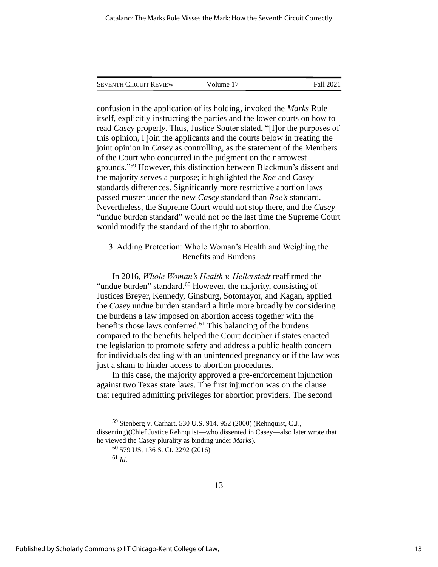| <b>SEVENTH CIRCUIT REVIEW</b> | Volume 17 | Fall 2021 |
|-------------------------------|-----------|-----------|

confusion in the application of its holding, invoked the *Marks* Rule itself, explicitly instructing the parties and the lower courts on how to read *Casey* properl*y*. Thus, Justice Souter stated, "[f]or the purposes of this opinion, I join the applicants and the courts below in treating the joint opinion in *Casey* as controlling, as the statement of the Members of the Court who concurred in the judgment on the narrowest grounds."<sup>59</sup> However, this distinction between Blackmun's dissent and the majority serves a purpose; it highlighted the *Roe* and *Casey* standards differences. Significantly more restrictive abortion laws passed muster under the new *Casey* standard than *Roe's* standard. Nevertheless, the Supreme Court would not stop there, and the *Casey* "undue burden standard" would not be the last time the Supreme Court would modify the standard of the right to abortion.

#### 3. Adding Protection: Whole Woman's Health and Weighing the Benefits and Burdens

In 2016, *Whole Woman's Health v. Hellerstedt* reaffirmed the "undue burden" standard.<sup>60</sup> However, the majority, consisting of Justices Breyer, Kennedy, Ginsburg, Sotomayor, and Kagan, applied the *Casey* undue burden standard a little more broadly by considering the burdens a law imposed on abortion access together with the benefits those laws conferred. <sup>61</sup> This balancing of the burdens compared to the benefits helped the Court decipher if states enacted the legislation to promote safety and address a public health concern for individuals dealing with an unintended pregnancy or if the law was just a sham to hinder access to abortion procedures.

In this case, the majority approved a pre-enforcement injunction against two Texas state laws. The first injunction was on the clause that required admitting privileges for abortion providers. The second

<sup>59</sup> Stenberg v. Carhart, 530 U.S. 914, 952 (2000) (Rehnquist, C.J., dissenting)(Chief Justice Rehnquist—who dissented in Casey—also later wrote that he viewed the Casey plurality as binding under *Marks*).

<sup>60</sup> 579 US, 136 S. Ct. 2292 (2016)

<sup>61</sup> *Id*.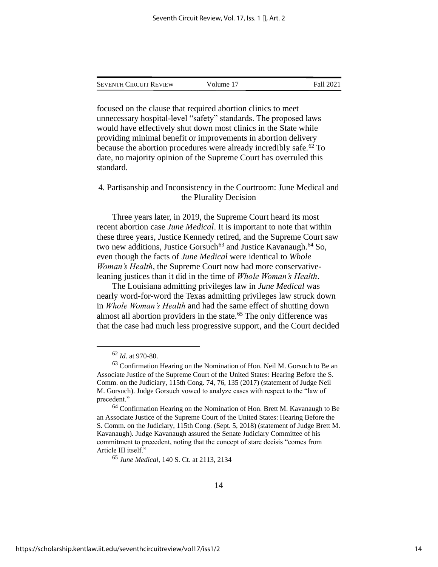| Seventh Circuit Review | Volume 17 | Fall 2021 |
|------------------------|-----------|-----------|
|                        |           |           |

focused on the clause that required abortion clinics to meet unnecessary hospital-level "safety" standards. The proposed laws would have effectively shut down most clinics in the State while providing minimal benefit or improvements in abortion delivery because the abortion procedures were already incredibly safe.<sup>62</sup> To date, no majority opinion of the Supreme Court has overruled this standard.

4. Partisanship and Inconsistency in the Courtroom: June Medical and the Plurality Decision

Three years later, in 2019, the Supreme Court heard its most recent abortion case *June Medical*. It is important to note that within these three years, Justice Kennedy retired, and the Supreme Court saw two new additions, Justice Gorsuch<sup>63</sup> and Justice Kavanaugh.<sup>64</sup> So, even though the facts of *June Medical* were identical to *Whole Woman's Health*, the Supreme Court now had more conservativeleaning justices than it did in the time of *Whole Woman's Health*.

The Louisiana admitting privileges law in *June Medical* was nearly word-for-word the Texas admitting privileges law struck down in *Whole Woman's Health* and had the same effect of shutting down almost all abortion providers in the state.<sup>65</sup> The only difference was that the case had much less progressive support, and the Court decided

<sup>65</sup> *June Medical*, 140 S. Ct. at 2113, 2134

<sup>62</sup> *Id*. at 970-80.

 $63$  Confirmation Hearing on the Nomination of Hon. Neil M. Gorsuch to Be an Associate Justice of the Supreme Court of the United States: Hearing Before the S. Comm. on the Judiciary, 115th Cong. 74, 76, 135 (2017) (statement of Judge Neil M. Gorsuch). Judge Gorsuch vowed to analyze cases with respect to the "law of precedent."

<sup>&</sup>lt;sup>64</sup> Confirmation Hearing on the Nomination of Hon. Brett M. Kavanaugh to Be an Associate Justice of the Supreme Court of the United States: Hearing Before the S. Comm. on the Judiciary, 115th Cong. (Sept. 5, 2018) (statement of Judge Brett M. Kavanaugh). Judge Kavanaugh assured the Senate Judiciary Committee of his commitment to precedent, noting that the concept of stare decisis "comes from Article III itself."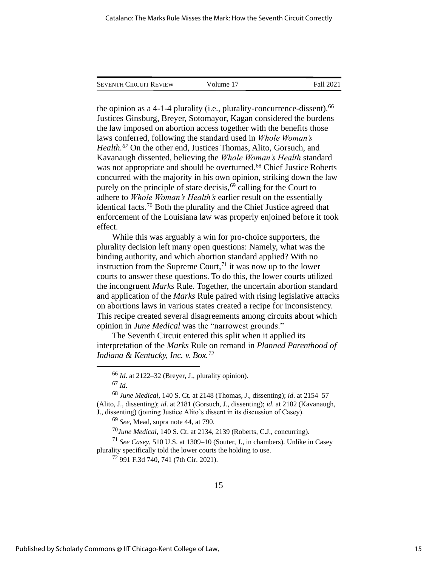| <b>SEVENTH CIRCUIT REVIEW</b> | Volume 17 | Fall 2021 |
|-------------------------------|-----------|-----------|
|                               |           |           |

the opinion as a 4-1-4 plurality (i.e., plurality-concurrence-dissent).  $^{66}$ Justices Ginsburg, Breyer, Sotomayor, Kagan considered the burdens the law imposed on abortion access together with the benefits those laws conferred, following the standard used in *Whole Woman's Health.<sup>67</sup>* On the other end, Justices Thomas, Alito, Gorsuch, and Kavanaugh dissented, believing the *Whole Woman's Health* standard was not appropriate and should be overturned.<sup>68</sup> Chief Justice Roberts concurred with the majority in his own opinion, striking down the law purely on the principle of stare decisis,<sup>69</sup> calling for the Court to adhere to *Whole Woman's Health's* earlier result on the essentially identical facts.<sup>70</sup> Both the plurality and the Chief Justice agreed that enforcement of the Louisiana law was properly enjoined before it took effect.

While this was arguably a win for pro-choice supporters, the plurality decision left many open questions: Namely, what was the binding authority, and which abortion standard applied? With no instruction from the Supreme Court, $^{71}$  it was now up to the lower courts to answer these questions. To do this, the lower courts utilized the incongruent *Marks* Rule. Together, the uncertain abortion standard and application of the *Marks* Rule paired with rising legislative attacks on abortions laws in various states created a recipe for inconsistency. This recipe created several disagreements among circuits about which opinion in *June Medical* was the "narrowest grounds."

The Seventh Circuit entered this split when it applied its interpretation of the *Marks* Rule on remand in *Planned Parenthood of Indiana & Kentucky, Inc. v. Box.<sup>72</sup>*

<sup>70</sup>*June Medical*, 140 S. Ct. at 2134, 2139 (Roberts, C.J., concurring).

<sup>71</sup> *See Casey*, 510 U.S. at 1309–10 (Souter, J., in chambers). Unlike in Casey plurality specifically told the lower courts the holding to use.

<sup>72</sup> 991 F.3d 740, 741 (7th Cir. 2021).

<sup>66</sup> *Id*. at 2122–32 (Breyer, J., plurality opinion). <sup>67</sup> *Id*.

<sup>68</sup> *June Medical*, 140 S. Ct. at 2148 (Thomas, J., dissenting); *id*. at 2154–57 (Alito, J., dissenting); *id*. at 2181 (Gorsuch, J., dissenting); *id*. at 2182 (Kavanaugh, J., dissenting) (joining Justice Alito's dissent in its discussion of Casey).

<sup>69</sup> *See,* Mead, supra note 44, at 790.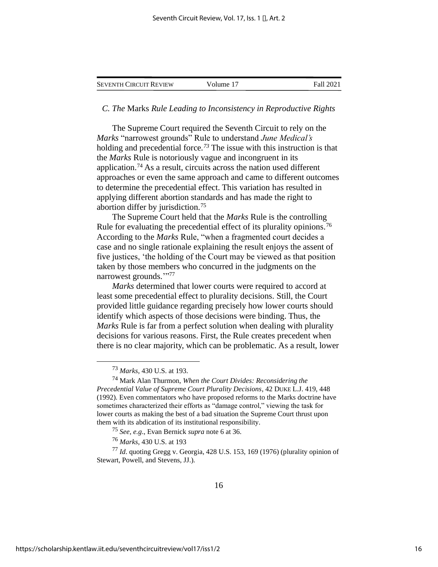| <b>SEVENTH CIRCUIT REVIEW</b> | Volume 17 | <b>Fall 2021</b> |
|-------------------------------|-----------|------------------|
|-------------------------------|-----------|------------------|

#### *C. The* Marks *Rule Leading to Inconsistency in Reproductive Rights*

The Supreme Court required the Seventh Circuit to rely on the *Marks* "narrowest grounds" Rule to understand *June Medical's* holding and precedential force*. <sup>73</sup>* The issue with this instruction is that the *Marks* Rule is notoriously vague and incongruent in its application.<sup>74</sup> As a result, circuits across the nation used different approaches or even the same approach and came to different outcomes to determine the precedential effect. This variation has resulted in applying different abortion standards and has made the right to abortion differ by jurisdiction.<sup>75</sup>

The Supreme Court held that the *Marks* Rule is the controlling Rule for evaluating the precedential effect of its plurality opinions.<sup>76</sup> According to the *Marks* Rule, "when a fragmented court decides a case and no single rationale explaining the result enjoys the assent of five justices, 'the holding of the Court may be viewed as that position taken by those members who concurred in the judgments on the narrowest grounds."<sup>77</sup>

*Marks* determined that lower courts were required to accord at least some precedential effect to plurality decisions. Still, the Court provided little guidance regarding precisely how lower courts should identify which aspects of those decisions were binding. Thus, the *Marks* Rule is far from a perfect solution when dealing with plurality decisions for various reasons. First, the Rule creates precedent when there is no clear majority, which can be problematic. As a result, lower

<sup>73</sup> *Marks*, 430 U.S. at 193.

<sup>74</sup> Mark Alan Thurmon, *When the Court Divides: Reconsidering the Precedential Value of Supreme Court Plurality Decisions*, 42 DUKE L.J. 419, 448 (1992). Even commentators who have proposed reforms to the Marks doctrine have sometimes characterized their efforts as "damage control," viewing the task for lower courts as making the best of a bad situation the Supreme Court thrust upon them with its abdication of its institutional responsibility.

<sup>75</sup> *See, e.g*., Evan Bernick *supra* note 6 at 36.

<sup>76</sup> *Marks*, 430 U.S. at 193

<sup>77</sup> *Id*. quoting Gregg v. Georgia, 428 U.S. 153, 169 (1976) (plurality opinion of Stewart, Powell, and Stevens, JJ.).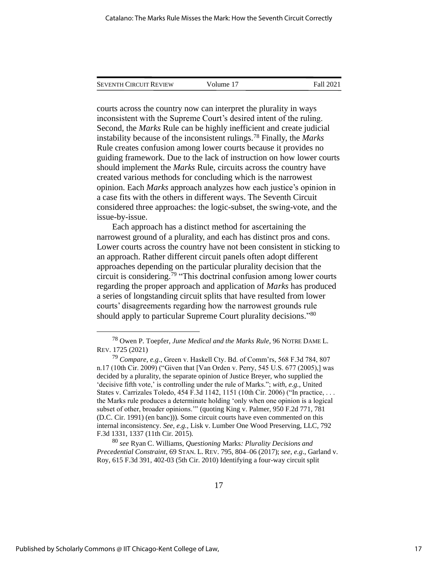| <b>SEVENTH CIRCUIT REVIEW</b> | Volume 17 | Fall 2021 |
|-------------------------------|-----------|-----------|
|                               |           |           |

courts across the country now can interpret the plurality in ways inconsistent with the Supreme Court's desired intent of the ruling. Second, the *Marks* Rule can be highly inefficient and create judicial instability because of the inconsistent rulings.<sup>78</sup> Finally, the *Marks* Rule creates confusion among lower courts because it provides no guiding framework. Due to the lack of instruction on how lower courts should implement the *Marks* Rule, circuits across the country have created various methods for concluding which is the narrowest opinion. Each *Marks* approach analyzes how each justice's opinion in a case fits with the others in different ways. The Seventh Circuit considered three approaches: the logic-subset, the swing-vote, and the issue-by-issue.

Each approach has a distinct method for ascertaining the narrowest ground of a plurality, and each has distinct pros and cons. Lower courts across the country have not been consistent in sticking to an approach. Rather different circuit panels often adopt different approaches depending on the particular plurality decision that the circuit is considering. <sup>79</sup> "This doctrinal confusion among lower courts regarding the proper approach and application of *Marks* has produced a series of longstanding circuit splits that have resulted from lower courts' disagreements regarding how the narrowest grounds rule should apply to particular Supreme Court plurality decisions."80

<sup>80</sup> *see* Ryan C. Williams, *Questioning* Marks*: Plurality Decisions and Precedential Constraint*, 69 STAN. L. REV. 795, 804–06 (2017); *see, e.g*., Garland v. Roy, 615 F.3d 391, 402-03 (5th Cir. 2010) Identifying a four-way circuit split

<sup>78</sup> Owen P. Toepfer, *June Medical and the Marks Rule*, 96 NOTRE DAME L. REV. 1725 (2021)

<sup>79</sup> *Compare, e.g*., Green v. Haskell Cty. Bd. of Comm'rs, 568 F.3d 784, 807 n.17 (10th Cir. 2009) ("Given that [Van Orden v. Perry, 545 U.S. 677 (2005),] was decided by a plurality, the separate opinion of Justice Breyer, who supplied the 'decisive fifth vote,' is controlling under the rule of Marks."; *with, e.g.,* United States v. Carrizales Toledo, 454 F.3d 1142, 1151 (10th Cir. 2006) ("In practice, . . . the Marks rule produces a determinate holding 'only when one opinion is a logical subset of other, broader opinions.'" (quoting King v. Palmer, 950 F.2d 771, 781 (D.C. Cir. 1991) (en banc))). Some circuit courts have even commented on this internal inconsistency. *See, e.g.,* Lisk v. Lumber One Wood Preserving, LLC, 792 F.3d 1331, 1337 (11th Cir. 2015).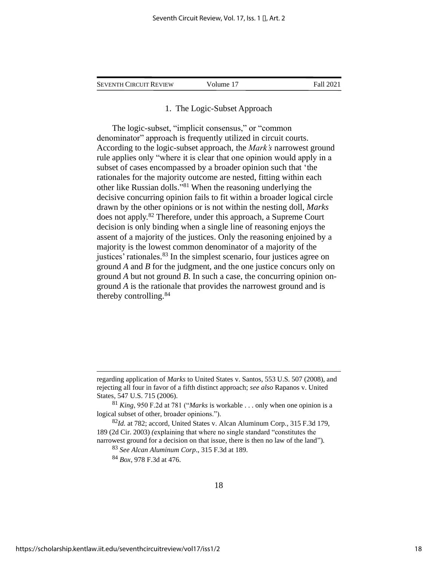| <b>SEVENTH CIRCUIT REVIEW</b> |  | Volume 17 | Fall 2021 |
|-------------------------------|--|-----------|-----------|
|-------------------------------|--|-----------|-----------|

#### 1. The Logic-Subset Approach

The logic-subset, "implicit consensus," or "common denominator" approach is frequently utilized in circuit courts. According to the logic-subset approach, the *Mark's* narrowest ground rule applies only "where it is clear that one opinion would apply in a subset of cases encompassed by a broader opinion such that 'the rationales for the majority outcome are nested, fitting within each other like Russian dolls." <sup>81</sup> When the reasoning underlying the decisive concurring opinion fails to fit within a broader logical circle drawn by the other opinions or is not within the nesting doll, *Marks* does not apply.<sup>82</sup> Therefore, under this approach, a Supreme Court decision is only binding when a single line of reasoning enjoys the assent of a majority of the justices. Only the reasoning enjoined by a majority is the lowest common denominator of a majority of the justices' rationales.<sup>83</sup> In the simplest scenario, four justices agree on ground *A* and *B* for the judgment, and the one justice concurs only on ground *A* but not ground *B*. In such a case, the concurring opinion onground *A* is the rationale that provides the narrowest ground and is thereby controlling. 84

<sup>84</sup> *Box*, 978 F.3d at 476.

regarding application of *Marks* to United States v. Santos, 553 U.S. 507 (2008), and rejecting all four in favor of a fifth distinct approach; *see also* Rapanos v. United States, 547 U.S. 715 (2006).

<sup>81</sup> *King*, 950 F.2d at 781 ("*Marks* is workable . . . only when one opinion is a logical subset of other, broader opinions.").

<sup>82</sup>*Id.* at 782; accord*,* United States v. Alcan Aluminum Corp*.,* 315 F.3d 179, 189 (2d Cir. 2003) *(*explaining that where no single standard "constitutes the narrowest ground for a decision on that issue, there is then no law of the land").

<sup>83</sup> *See Alcan Aluminum Corp*., 315 F.3d at 189.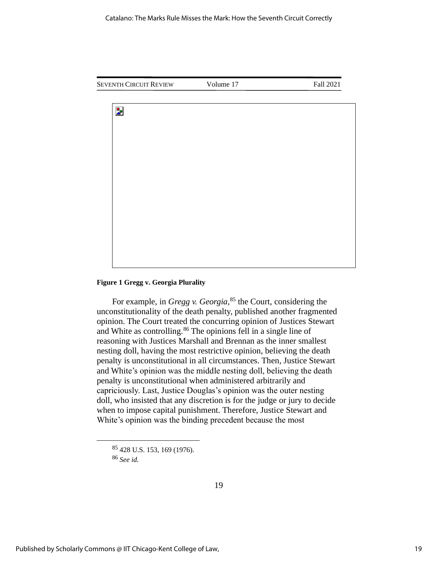SEVENTH CIRCUIT REVIEW Volume 17 Fall 2021



**Figure 1 Gregg v. Georgia Plurality**

For example, in *Gregg v. Georgia*, <sup>85</sup> the Court, considering the unconstitutionality of the death penalty, published another fragmented opinion. The Court treated the concurring opinion of Justices Stewart and White as controlling.<sup>86</sup> The opinions fell in a single line of reasoning with Justices Marshall and Brennan as the inner smallest nesting doll, having the most restrictive opinion, believing the death penalty is unconstitutional in all circumstances. Then, Justice Stewart and White's opinion was the middle nesting doll, believing the death penalty is unconstitutional when administered arbitrarily and capriciously. Last, Justice Douglas's opinion was the outer nesting doll, who insisted that any discretion is for the judge or jury to decide when to impose capital punishment. Therefore, Justice Stewart and White's opinion was the binding precedent because the most

<sup>85</sup> 428 U.S. 153, 169 (1976).

<sup>86</sup> *See id.*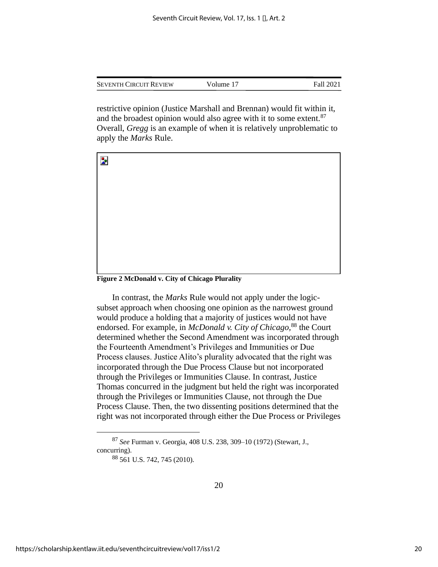| <b>SEVENTH CIRCUIT REVIEW</b> | Volume 17 | Fall 2021 |
|-------------------------------|-----------|-----------|
|                               |           |           |

restrictive opinion (Justice Marshall and Brennan) would fit within it, and the broadest opinion would also agree with it to some extent.<sup>87</sup> Overall, *Gregg* is an example of when it is relatively unproblematic to apply the *Marks* Rule.



**Figure 2 McDonald v. City of Chicago Plurality**

In contrast, the *Marks* Rule would not apply under the logicsubset approach when choosing one opinion as the narrowest ground would produce a holding that a majority of justices would not have endorsed. For example, in *McDonald v. City of Chicago,*<sup>88</sup> the Court determined whether the Second Amendment was incorporated through the Fourteenth Amendment's Privileges and Immunities or Due Process clauses. Justice Alito's plurality advocated that the right was incorporated through the Due Process Clause but not incorporated through the Privileges or Immunities Clause. In contrast, Justice Thomas concurred in the judgment but held the right was incorporated through the Privileges or Immunities Clause, not through the Due Process Clause. Then, the two dissenting positions determined that the right was not incorporated through either the Due Process or Privileges

<sup>87</sup> *See* Furman v. Georgia, 408 U.S. 238, 309–10 (1972) (Stewart, J., concurring).

<sup>88</sup> 561 U.S. 742, 745 (2010).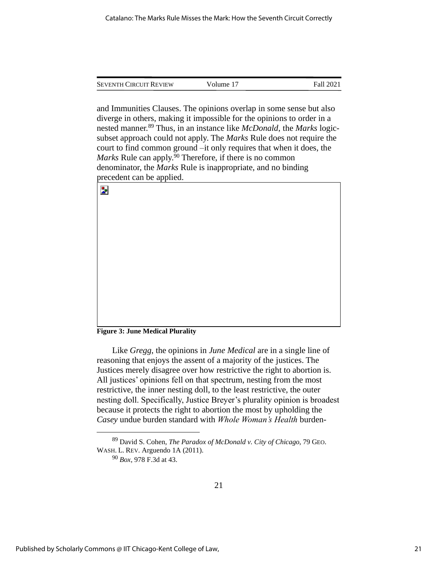| <b>SEVENTH CIRCUIT REVIEW</b> | Volume 17 | Fall 2021 |
|-------------------------------|-----------|-----------|
|                               |           |           |

and Immunities Clauses. The opinions overlap in some sense but also diverge in others, making it impossible for the opinions to order in a nested manner.<sup>89</sup> Thus, in an instance like *McDonald*, the *Marks* logicsubset approach could not apply. The *Marks* Rule does not require the court to find common ground –it only requires that when it does, the *Marks* Rule can apply.<sup>90</sup> Therefore, if there is no common denominator, the *Marks* Rule is inappropriate, and no binding precedent can be applied.

| $\mathbf{z}$ |  |
|--------------|--|
|              |  |
|              |  |
|              |  |
|              |  |
|              |  |
|              |  |
|              |  |
|              |  |
|              |  |
|              |  |

#### **Figure 3: June Medical Plurality**

Like *Gregg*, the opinions in *June Medical* are in a single line of reasoning that enjoys the assent of a majority of the justices. The Justices merely disagree over how restrictive the right to abortion is. All justices' opinions fell on that spectrum, nesting from the most restrictive, the inner nesting doll, to the least restrictive, the outer nesting doll. Specifically, Justice Breyer's plurality opinion is broadest because it protects the right to abortion the most by upholding the *Casey* undue burden standard with *Whole Woman's Health* burden-

<sup>89</sup> David S. Cohen, *The Paradox of McDonald v. City of Chicago*, 79 GEO. WASH. L. REV. Arguendo 1A (2011).

<sup>90</sup> *Box*, 978 F.3d at 43.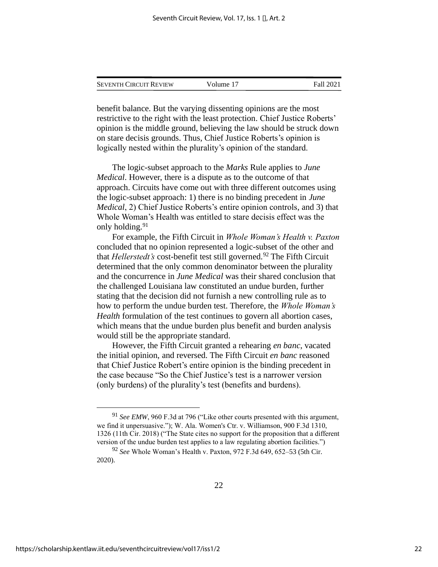| <b>SEVENTH CIRCUIT REVIEW</b> | Volume 17 | Fall 2021 |
|-------------------------------|-----------|-----------|
|                               |           |           |

benefit balance. But the varying dissenting opinions are the most restrictive to the right with the least protection. Chief Justice Roberts' opinion is the middle ground, believing the law should be struck down on stare decisis grounds. Thus, Chief Justice Roberts's opinion is logically nested within the plurality's opinion of the standard.

The logic-subset approach to the *Marks* Rule applies to *June Medical*. However, there is a dispute as to the outcome of that approach. Circuits have come out with three different outcomes using the logic-subset approach: 1) there is no binding precedent in *June Medical*, 2) Chief Justice Roberts's entire opinion controls, and 3) that Whole Woman's Health was entitled to stare decisis effect was the only holding.<sup>91</sup>

For example, the Fifth Circuit in *Whole Woman's Health v. Paxton* concluded that no opinion represented a logic-subset of the other and that *Hellerstedt's* cost-benefit test still governed.<sup>92</sup> The Fifth Circuit determined that the only common denominator between the plurality and the concurrence in *June Medical* was their shared conclusion that the challenged Louisiana law constituted an undue burden, further stating that the decision did not furnish a new controlling rule as to how to perform the undue burden test. Therefore, the *Whole Woman's Health* formulation of the test continues to govern all abortion cases, which means that the undue burden plus benefit and burden analysis would still be the appropriate standard.

However, the Fifth Circuit granted a rehearing *en banc*, vacated the initial opinion, and reversed. The Fifth Circuit *en banc* reasoned that Chief Justice Robert's entire opinion is the binding precedent in the case because "So the Chief Justice's test is a narrower version (only burdens) of the plurality's test (benefits and burdens).

<sup>91</sup> *See EMW*, 960 F.3d at 796 ("Like other courts presented with this argument, we find it unpersuasive."); W. Ala. Women's Ctr. v. Williamson, 900 F.3d 1310, 1326 (11th Cir. 2018) ("The State cites no support for the proposition that a different version of the undue burden test applies to a law regulating abortion facilities.")

<sup>92</sup> *See* Whole Woman's Health v. Paxton, 972 F.3d 649, 652–53 (5th Cir. 2020).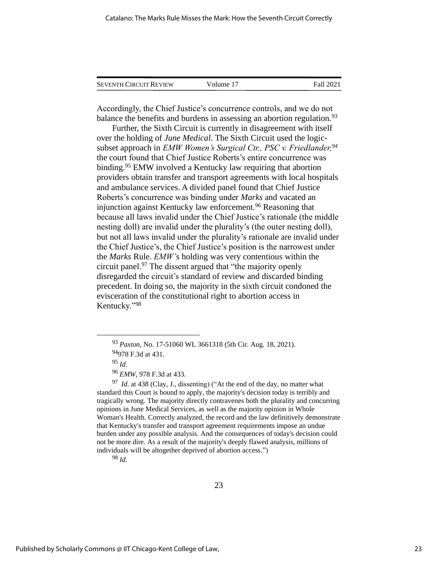| <b>SEVENTH CIRCUIT REVIEW</b> | Volume 17 | Fall 2021 |
|-------------------------------|-----------|-----------|
|                               |           |           |

Accordingly, the Chief Justice's concurrence controls, and we do not balance the benefits and burdens in assessing an abortion regulation.<sup>93</sup>

Further, the Sixth Circuit is currently in disagreement with itself over the holding of *June Medical*. The Sixth Circuit used the logicsubset approach in *EMW Women's Surgical Ctr., PSC v. Friedlander,<sup>94</sup>* the court found that Chief Justice Roberts's entire concurrence was binding.<sup>95</sup> EMW involved a Kentucky law requiring that abortion providers obtain transfer and transport agreements with local hospitals and ambulance services. A divided panel found that Chief Justice Roberts's concurrence was binding under *Marks* and vacated an injunction against Kentucky law enforcement.<sup>96</sup> Reasoning that because all laws invalid under the Chief Justice's rationale (the middle nesting doll) are invalid under the plurality's (the outer nesting doll), but not all laws invalid under the plurality's rationale are invalid under the Chief Justice's, the Chief Justice's position is the narrowest under the *Marks* Rule. *EMW'*s holding was very contentious within the circuit panel.<sup>97</sup> The dissent argued that "the majority openly disregarded the circuit's standard of review and discarded binding precedent. In doing so, the majority in the sixth circuit condoned the evisceration of the constitutional right to abortion access in Kentucky." 98

<sup>97</sup> *Id*. at 438 (Clay, J., dissenting) ("At the end of the day, no matter what standard this Court is bound to apply, the majority's decision today is terribly and tragically wrong. The majority directly contravenes both the plurality and concurring opinions in June Medical Services, as well as the majority opinion in Whole Woman's Health. Correctly analyzed, the record and the law definitively demonstrate that Kentucky's transfer and transport agreement requirements impose an undue burden under any possible analysis. And the consequences of today's decision could not be more dire. As a result of the majority's deeply flawed analysis, millions of individuals will be altogether deprived of abortion access.")

<sup>98</sup> *Id.*

<sup>93</sup> *Paxton*, No. 17-51060 WL 3661318 (5th Cir. Aug. 18, 2021).

<sup>94 978</sup> F.3d at 431.

 $95$  *Id.* 

<sup>96</sup> *EMW*, 978 F.3d at 433.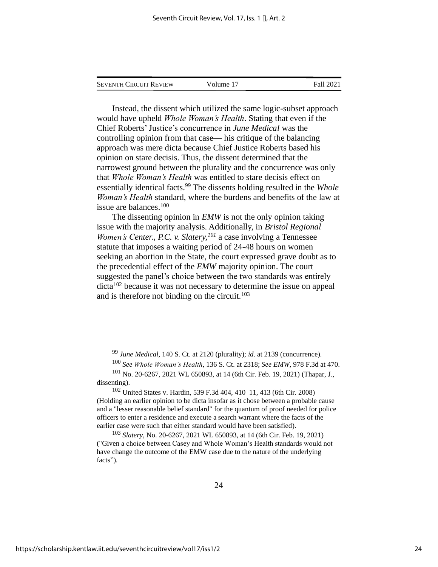| <b>SEVENTH CIRCUIT REVIEW</b> | Volume 17 | Fall 2021 |
|-------------------------------|-----------|-----------|
|                               |           |           |

Instead, the dissent which utilized the same logic-subset approach would have upheld *Whole Woman's Health*. Stating that even if the Chief Roberts'Justice's concurrence in *June Medical* was the controlling opinion from that case— his critique of the balancing approach was mere dicta because Chief Justice Roberts based his opinion on stare decisis. Thus, the dissent determined that the narrowest ground between the plurality and the concurrence was only that *Whole Woman's Health* was entitled to stare decisis effect on essentially identical facts.<sup>99</sup> The dissents holding resulted in the *Whole Woman's Health* standard, where the burdens and benefits of the law at issue are balances. 100

The dissenting opinion in *EMW* is not the only opinion taking issue with the majority analysis. Additionally, in *Bristol Regional Women's Center., P.C. v. Slatery,<sup>101</sup>* a case involving a Tennessee statute that imposes a waiting period of 24-48 hours on women seeking an abortion in the State, the court expressed grave doubt as to the precedential effect of the *EMW* majority opinion. The court suggested the panel's choice between the two standards was entirely dicta<sup>102</sup> because it was not necessary to determine the issue on appeal and is therefore not binding on the circuit.<sup>103</sup>

<sup>99</sup> *June Medical*, 140 S. Ct. at 2120 (plurality); *id*. at 2139 (concurrence).

<sup>100</sup> *See Whole Woman's Health*, 136 S. Ct. at 2318; *See EMW*, 978 F.3d at 470. <sup>101</sup> No. 20-6267, 2021 WL 650893, at 14 (6th Cir. Feb. 19, 2021) (Thapar, J.,

dissenting).

<sup>102</sup> United States v. Hardin, 539 F.3d 404, 410–11, 413 (6th Cir. 2008) (Holding an earlier opinion to be dicta insofar as it chose between a probable cause and a "lesser reasonable belief standard" for the quantum of proof needed for police officers to enter a residence and execute a search warrant where the facts of the earlier case were such that either standard would have been satisfied).

<sup>103</sup> *Slatery*, No. 20-6267, 2021 WL 650893, at 14 (6th Cir. Feb. 19, 2021) ("Given a choice between Casey and Whole Woman's Health standards would not have change the outcome of the EMW case due to the nature of the underlying facts").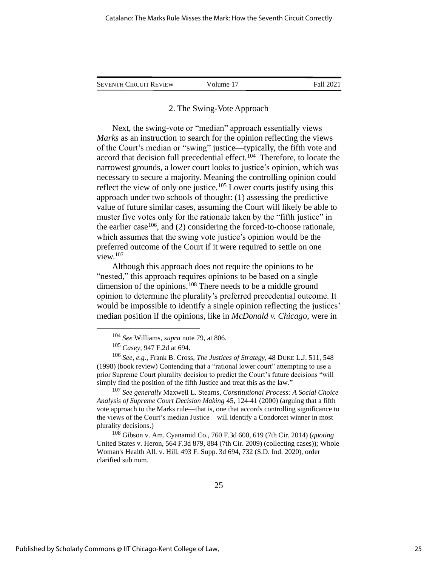| <b>SEVENTH CIRCUIT REVIEW</b> | Volume 17 | Fall 2021 |
|-------------------------------|-----------|-----------|
|                               |           |           |

#### 2. The Swing-Vote Approach

Next, the swing-vote or "median" approach essentially views *Marks* as an instruction to search for the opinion reflecting the views of the Court's median or "swing" justice—typically, the fifth vote and accord that decision full precedential effect.<sup>104</sup> Therefore, to locate the narrowest grounds, a lower court looks to justice's opinion, which was necessary to secure a majority. Meaning the controlling opinion could reflect the view of only one justice.<sup>105</sup> Lower courts justify using this approach under two schools of thought: (1) assessing the predictive value of future similar cases, assuming the Court will likely be able to muster five votes only for the rationale taken by the "fifth justice" in the earlier case<sup>106</sup>, and (2) considering the forced-to-choose rationale, which assumes that the swing vote justice's opinion would be the preferred outcome of the Court if it were required to settle on one view.<sup>107</sup>

Although this approach does not require the opinions to be "nested," this approach requires opinions to be based on a single dimension of the opinions.<sup>108</sup> There needs to be a middle ground opinion to determine the plurality's preferred precedential outcome. It would be impossible to identify a single opinion reflecting the justices' median position if the opinions, like in *McDonald v. Chicago*, were in

<sup>107</sup> *See generally* Maxwell L. Stearns, *Constitutional Process: A Social Choice Analysis of Supreme Court Decision Making* 45, 124-41 (2000) (arguing that a fifth vote approach to the Marks rule—that is, one that accords controlling significance to the views of the Court's median Justice—will identify a Condorcet winner in most plurality decisions.)

<sup>108</sup> Gibson v. Am. Cyanamid Co., 760 F.3d 600, 619 (7th Cir. 2014) (*quoting* United States v. Heron, 564 F.3d 879, 884 (7th Cir. 2009) (collecting cases)); Whole Woman's Health All. v. Hill, 493 F. Supp. 3d 694, 732 (S.D. Ind. 2020), order clarified sub nom.

<sup>104</sup> *See* Williams, *supra* note 79, at 806.

<sup>105</sup> *Casey*, 947 F.2d at 694.

<sup>106</sup> *See, e.g.,* Frank B. Cross, *The Justices of Strategy*, 48 DUKE L.J. 511, 548 (1998) (book review) Contending that a "rational lower court" attempting to use a prior Supreme Court plurality decision to predict the Court's future decisions "will simply find the position of the fifth Justice and treat this as the law."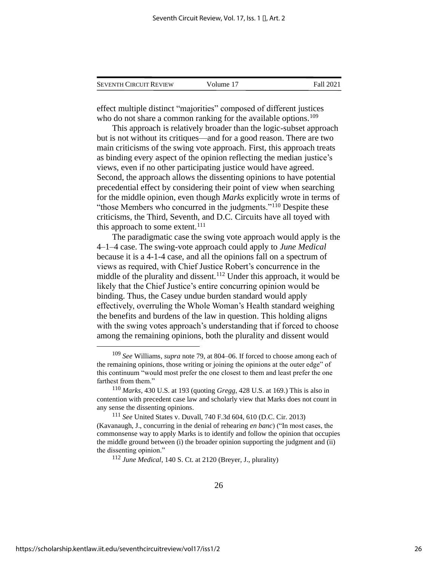| <b>SEVENTH CIRCUIT REVIEW</b> | Volume 17 | Fall 2021 |
|-------------------------------|-----------|-----------|
|                               |           |           |

effect multiple distinct "majorities" composed of different justices who do not share a common ranking for the available options.<sup>109</sup>

This approach is relatively broader than the logic-subset approach but is not without its critiques—and for a good reason. There are two main criticisms of the swing vote approach. First, this approach treats as binding every aspect of the opinion reflecting the median justice's views, even if no other participating justice would have agreed. Second, the approach allows the dissenting opinions to have potential precedential effect by considering their point of view when searching for the middle opinion, even though *Marks* explicitly wrote in terms of "those Members who concurred in the judgments."<sup>110</sup> Despite these criticisms, the Third, Seventh, and D.C. Circuits have all toyed with this approach to some extent. $111$ 

The paradigmatic case the swing vote approach would apply is the 4–1–4 case. The swing-vote approach could apply to *June Medical* because it is a 4-1-4 case, and all the opinions fall on a spectrum of views as required, with Chief Justice Robert's concurrence in the middle of the plurality and dissent.<sup>112</sup> Under this approach, it would be likely that the Chief Justice's entire concurring opinion would be binding. Thus, the Casey undue burden standard would apply effectively, overruling the Whole Woman's Health standard weighing the benefits and burdens of the law in question. This holding aligns with the swing votes approach's understanding that if forced to choose among the remaining opinions, both the plurality and dissent would

<sup>112</sup> *June Medical*, 140 S. Ct. at 2120 (Breyer, J., plurality)

<sup>109</sup> *See* Williams, *supra* note 79, at 804–06. If forced to choose among each of the remaining opinions, those writing or joining the opinions at the outer edge" of this continuum "would most prefer the one closest to them and least prefer the one farthest from them."

<sup>110</sup> *Marks*, 430 U.S. at 193 (quoting *Gregg*, 428 U.S. at 169.) This is also in contention with precedent case law and scholarly view that Marks does not count in any sense the dissenting opinions.

<sup>111</sup> *See* United States v. Duvall, 740 F.3d 604, 610 (D.C. Cir. 2013) (Kavanaugh, J., concurring in the denial of rehearing *en banc*) ("In most cases, the commonsense way to apply Marks is to identify and follow the opinion that occupies the middle ground between (i) the broader opinion supporting the judgment and (ii) the dissenting opinion."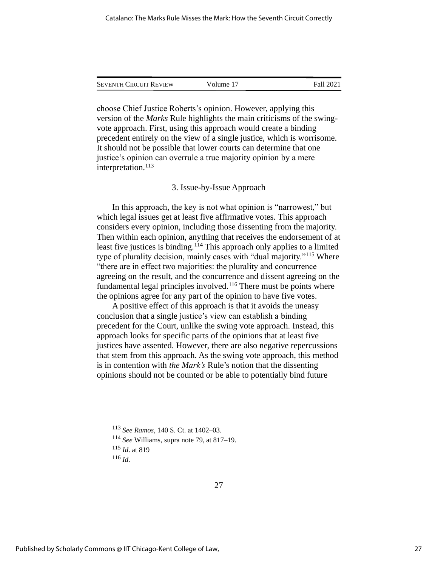| <b>SEVENTH CIRCUIT REVIEW</b> | Volume 17 | Fall 2021 |
|-------------------------------|-----------|-----------|
|                               |           |           |

choose Chief Justice Roberts's opinion. However, applying this version of the *Marks* Rule highlights the main criticisms of the swingvote approach. First, using this approach would create a binding precedent entirely on the view of a single justice, which is worrisome. It should not be possible that lower courts can determine that one justice's opinion can overrule a true majority opinion by a mere interpretation.<sup>113</sup>

#### 3. Issue-by-Issue Approach

In this approach, the key is not what opinion is "narrowest," but which legal issues get at least five affirmative votes. This approach considers every opinion, including those dissenting from the majority. Then within each opinion, anything that receives the endorsement of at least five justices is binding.<sup>114</sup> This approach only applies to a limited type of plurality decision, mainly cases with "dual majority."<sup>115</sup> Where "there are in effect two majorities: the plurality and concurrence agreeing on the result, and the concurrence and dissent agreeing on the fundamental legal principles involved.<sup>116</sup> There must be points where the opinions agree for any part of the opinion to have five votes.

A positive effect of this approach is that it avoids the uneasy conclusion that a single justice's view can establish a binding precedent for the Court, unlike the swing vote approach. Instead, this approach looks for specific parts of the opinions that at least five justices have assented. However, there are also negative repercussions that stem from this approach. As the swing vote approach, this method is in contention with *the Mark's* Rule's notion that the dissenting opinions should not be counted or be able to potentially bind future

<sup>116</sup> *Id*.

<sup>113</sup> *See Ramos*, 140 S. Ct. at 1402–03.

<sup>114</sup> *See* Williams, supra note 79, at 817–19.

<sup>115</sup> *Id*. at 819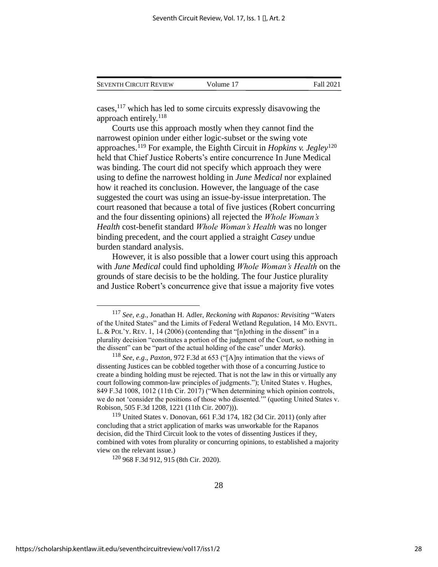| <b>SEVENTH CIRCUIT REVIEW</b> | Volume 17 | <b>Fall 2021</b> |
|-------------------------------|-----------|------------------|
|                               |           |                  |

cases,  $117$  which has led to some circuits expressly disavowing the approach entirely.<sup>118</sup>

Courts use this approach mostly when they cannot find the narrowest opinion under either logic-subset or the swing vote approaches.<sup>119</sup> For example, the Eighth Circuit in *Hopkins v. Jegley*<sup>120</sup> held that Chief Justice Roberts's entire concurrence In June Medical was binding. The court did not specify which approach they were using to define the narrowest holding in *June Medical* nor explained how it reached its conclusion. However, the language of the case suggested the court was using an issue-by-issue interpretation. The court reasoned that because a total of five justices (Robert concurring and the four dissenting opinions) all rejected the *Whole Woman's Health* cost-benefit standard *Whole Woman's Health* was no longer binding precedent, and the court applied a straight *Casey* undue burden standard analysis.

However, it is also possible that a lower court using this approach with *June Medical* could find upholding *Whole Woman's Health* on the grounds of stare decisis to be the holding. The four Justice plurality and Justice Robert's concurrence give that issue a majority five votes

<sup>120</sup> 968 F.3d 912, 915 (8th Cir. 2020).

<sup>117</sup> *See, e.g.*, Jonathan H. Adler, *Reckoning with Rapanos: Revisiting* "Waters of the United States" and the Limits of Federal Wetland Regulation, 14 MO. ENVTL. L. & POL'Y. REV. 1, 14 (2006) (contending that "[n]othing in the dissent" in a plurality decision "constitutes a portion of the judgment of the Court, so nothing in the dissent" can be "part of the actual holding of the case" under *Marks*).

<sup>118</sup> *See, e.g*., *Paxton*, 972 F.3d at 653 ("[A]ny intimation that the views of dissenting Justices can be cobbled together with those of a concurring Justice to create a binding holding must be rejected. That is not the law in this or virtually any court following common-law principles of judgments."); United States v. Hughes, 849 F.3d 1008, 1012 (11th Cir. 2017) ("When determining which opinion controls, we do not 'consider the positions of those who dissented.'" (quoting United States v. Robison, 505 F.3d 1208, 1221 (11th Cir. 2007))).

<sup>119</sup> United States v. Donovan, 661 F.3d 174, 182 (3d Cir. 2011) (only after concluding that a strict application of marks was unworkable for the Rapanos decision, did the Third Circuit look to the votes of dissenting Justices if they, combined with votes from plurality or concurring opinions, to established a majority view on the relevant issue.)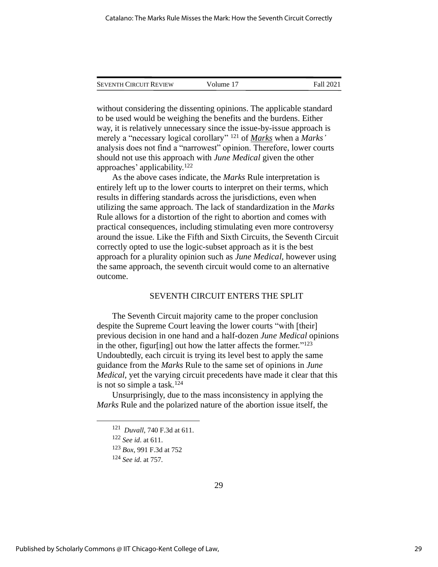| <b>SEVENTH CIRCUIT REVIEW</b> | Volume 17 | Fall 2021 |
|-------------------------------|-----------|-----------|
|                               |           |           |

without considering the dissenting opinions. The applicable standard to be used would be weighing the benefits and the burdens. Either way, it is relatively unnecessary since the issue-by-issue approach is merely a "necessary logical corollary" <sup>121</sup> of *Marks* when a *Marks'* analysis does not find a "narrowest" opinion. Therefore, lower courts should not use this approach with *June Medical* given the other approaches' applicability.<sup>122</sup>

As the above cases indicate, the *Marks* Rule interpretation is entirely left up to the lower courts to interpret on their terms, which results in differing standards across the jurisdictions, even when utilizing the same approach. The lack of standardization in the *Marks* Rule allows for a distortion of the right to abortion and comes with practical consequences, including stimulating even more controversy around the issue. Like the Fifth and Sixth Circuits, the Seventh Circuit correctly opted to use the logic-subset approach as it is the best approach for a plurality opinion such as *June Medical,* however using the same approach, the seventh circuit would come to an alternative outcome.

#### SEVENTH CIRCUIT ENTERS THE SPLIT

The Seventh Circuit majority came to the proper conclusion despite the Supreme Court leaving the lower courts "with [their] previous decision in one hand and a half-dozen *June Medical* opinions in the other, figur[ing] out how the latter affects the former."<sup>123</sup> Undoubtedly, each circuit is trying its level best to apply the same guidance from the *Marks* Rule to the same set of opinions in *June Medical*, yet the varying circuit precedents have made it clear that this is not so simple a task.<sup>124</sup>

Unsurprisingly, due to the mass inconsistency in applying the *Marks* Rule and the polarized nature of the abortion issue itself, the

<sup>121</sup> *Duvall*, 740 F.3d at 611.

<sup>122</sup> *See id*. at 611.

<sup>123</sup> *Box*, 991 F.3d at 752

<sup>124</sup> *See id*. at 757.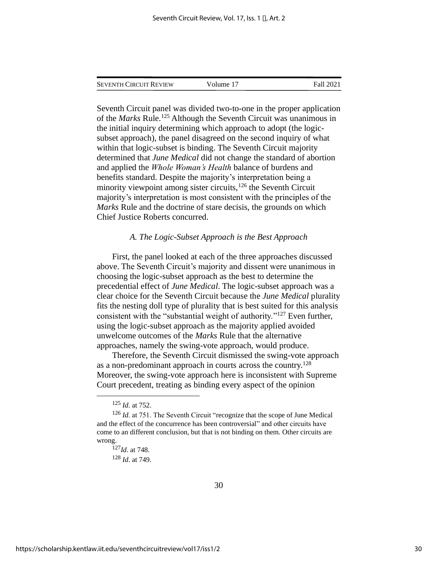| <b>SEVENTH CIRCUIT REVIEW</b> | Volume 17 | Fall 2021 |
|-------------------------------|-----------|-----------|
|                               |           |           |

Seventh Circuit panel was divided two-to-one in the proper application of the *Marks* Rule.<sup>125</sup> Although the Seventh Circuit was unanimous in the initial inquiry determining which approach to adopt (the logicsubset approach), the panel disagreed on the second inquiry of what within that logic-subset is binding. The Seventh Circuit majority determined that *June Medical* did not change the standard of abortion and applied the *Whole Woman's Health* balance of burdens and benefits standard. Despite the majority's interpretation being a minority viewpoint among sister circuits, $126$  the Seventh Circuit majority's interpretation is most consistent with the principles of the *Marks* Rule and the doctrine of stare decisis, the grounds on which Chief Justice Roberts concurred.

#### *A. The Logic-Subset Approach is the Best Approach*

First, the panel looked at each of the three approaches discussed above. The Seventh Circuit's majority and dissent were unanimous in choosing the logic-subset approach as the best to determine the precedential effect of *June Medical*. The logic-subset approach was a clear choice for the Seventh Circuit because the *June Medical* plurality fits the nesting doll type of plurality that is best suited for this analysis consistent with the "substantial weight of authority." <sup>127</sup> Even further, using the logic-subset approach as the majority applied avoided unwelcome outcomes of the *Marks* Rule that the alternative approaches, namely the swing-vote approach, would produce.

Therefore, the Seventh Circuit dismissed the swing-vote approach as a non-predominant approach in courts across the country.<sup>128</sup> Moreover, the swing-vote approach here is inconsistent with Supreme Court precedent, treating as binding every aspect of the opinion

<sup>125</sup> *Id*. at 752.

<sup>&</sup>lt;sup>126</sup> *Id.* at 751. The Seventh Circuit "recognize that the scope of June Medical and the effect of the concurrence has been controversial" and other circuits have come to an different conclusion, but that is not binding on them. Other circuits are wrong.

<sup>127</sup>*Id*. at 748.

<sup>128</sup> *Id*. at 749.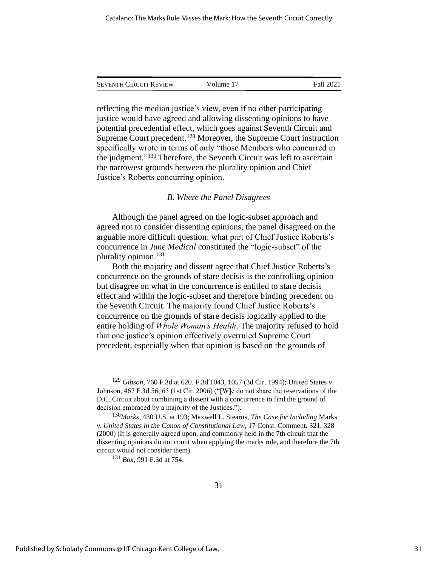SEVENTH CIRCUIT REVIEW Volume 17 Fall 2021

reflecting the median justice's view, even if no other participating justice would have agreed and allowing dissenting opinions to have potential precedential effect, which goes against Seventh Circuit and Supreme Court precedent.<sup>129</sup> Moreover, the Supreme Court instruction specifically wrote in terms of only "those Members who concurred in the judgment." <sup>130</sup> Therefore, the Seventh Circuit was left to ascertain the narrowest grounds between the plurality opinion and Chief Justice's Roberts concurring opinion.

#### *B. Where the Panel Disagrees*

Although the panel agreed on the logic-subset approach and agreed not to consider dissenting opinions, the panel disagreed on the arguable more difficult question: what part of Chief Justice Roberts's concurrence in *June Medical* constituted the "logic-subset" of the plurality opinion.<sup>131</sup>

Both the majority and dissent agree that Chief Justice Roberts's concurrence on the grounds of stare decisis is the controlling opinion but disagree on what in the concurrence is entitled to stare decisis effect and within the logic-subset and therefore binding precedent on the Seventh Circuit. The majority found Chief Justice Roberts's concurrence on the grounds of stare decisis logically applied to the entire holding of *Whole Woman's Health.* The majority refused to hold that one justice's opinion effectively overruled Supreme Court precedent, especially when that opinion is based on the grounds of

<sup>129</sup> *Gibson*, 760 F.3d at 620. F.3d 1043, 1057 (3d Cir. 1994); United States v. Johnson, 467 F.3d 56, 65 (1st Cir. 2006) ("[W]e do not share the reservations of the D.C. Circuit about combining a dissent with a concurrence to find the ground of decision embraced by a majority of the Justices.").

<sup>130</sup>*Marks*, 430 U.S. at 193; Maxwell L. Stearns, *The Case for Including* Marks *v. United States in the Canon of Constitutional Law*, 17 Const. Comment. 321, 328 (2000) (It is generally agreed upon, and commonly held in the 7th circuit that the dissenting opinions do not count when applying the marks rule, and therefore the 7th circuit would not consider them).

<sup>131</sup> *Box*, 991 F.3d at 754.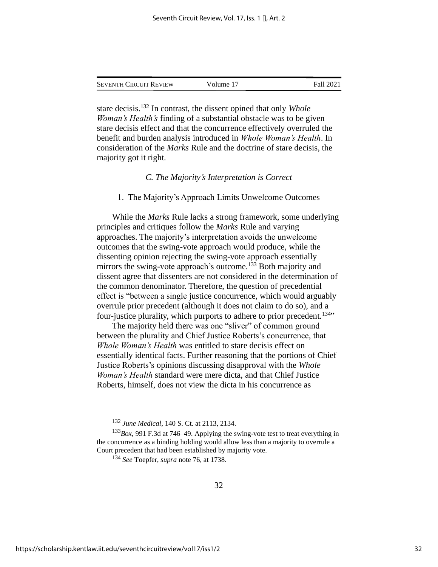| <b>SEVENTH CIRCUIT REVIEW</b> | Volume 17 | <b>Fall 2021</b> |
|-------------------------------|-----------|------------------|
|                               |           |                  |

stare decisis.<sup>132</sup> In contrast, the dissent opined that only *Whole Woman's Health's* finding of a substantial obstacle was to be given stare decisis effect and that the concurrence effectively overruled the benefit and burden analysis introduced in *Whole Woman's Health*. In consideration of the *Marks* Rule and the doctrine of stare decisis, the majority got it right.

#### *C. The Majority's Interpretation is Correct*

#### 1. The Majority's Approach Limits Unwelcome Outcomes

While the *Marks* Rule lacks a strong framework, some underlying principles and critiques follow the *Marks* Rule and varying approaches. The majority's interpretation avoids the unwelcome outcomes that the swing-vote approach would produce, while the dissenting opinion rejecting the swing-vote approach essentially mirrors the swing-vote approach's outcome.<sup>133</sup> Both majority and dissent agree that dissenters are not considered in the determination of the common denominator. Therefore, the question of precedential effect is "between a single justice concurrence, which would arguably overrule prior precedent (although it does not claim to do so), and a four-justice plurality, which purports to adhere to prior precedent.<sup>134</sup>"

The majority held there was one "sliver" of common ground between the plurality and Chief Justice Roberts's concurrence, that *Whole Woman's Health* was entitled to stare decisis effect on essentially identical facts. Further reasoning that the portions of Chief Justice Roberts's opinions discussing disapproval with the *Whole Woman's Health* standard were mere dicta, and that Chief Justice Roberts, himself, does not view the dicta in his concurrence as

<sup>132</sup> *June Medical*, 140 S. Ct. at 2113, 2134.

<sup>133</sup>*Box*, 991 F.3d at 746–49. Applying the swing-vote test to treat everything in the concurrence as a binding holding would allow less than a majority to overrule a Court precedent that had been established by majority vote.

<sup>134</sup> *See* Toepfer, *supra* note 76, at 1738.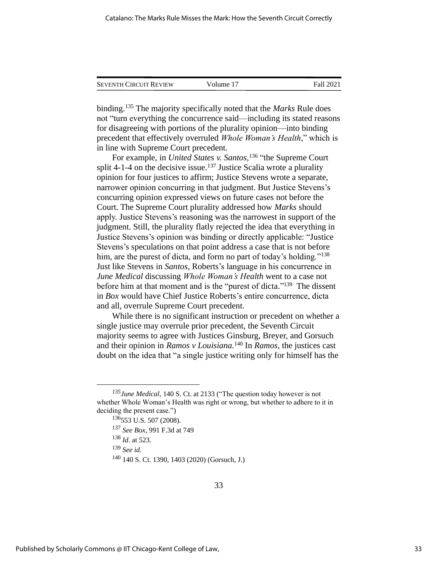| <b>SEVENTH CIRCUIT REVIEW</b> | Volume 17 | Fall 2021 |
|-------------------------------|-----------|-----------|
|                               |           |           |

binding.<sup>135</sup> The majority specifically noted that the *Marks* Rule does not "turn everything the concurrence said—including its stated reasons for disagreeing with portions of the plurality opinion—into binding precedent that effectively overruled *Whole Woman's Health*," which is in line with Supreme Court precedent.

For example, in *United States v. Santos*, 136 "the Supreme Court split 4-1-4 on the decisive issue.<sup>137</sup> Justice Scalia wrote a plurality opinion for four justices to affirm; Justice Stevens wrote a separate, narrower opinion concurring in that judgment. But Justice Stevens's concurring opinion expressed views on future cases not before the Court. The Supreme Court plurality addressed how *Marks* should apply. Justice Stevens's reasoning was the narrowest in support of the judgment. Still, the plurality flatly rejected the idea that everything in Justice Stevens's opinion was binding or directly applicable: "Justice Stevens's speculations on that point address a case that is not before him, are the purest of dicta, and form no part of today's holding."<sup>138</sup> Just like Stevens in *Santos*, Roberts's language in his concurrence in *June Medical* discussing *Whole Woman's Health* went to a case not before him at that moment and is the "purest of dicta."<sup>139</sup> The dissent in *Box* would have Chief Justice Roberts's entire concurrence, dicta and all, overrule Supreme Court precedent.

While there is no significant instruction or precedent on whether a single justice may overrule prior precedent, the Seventh Circuit majority seems to agree with Justices Ginsburg, Breyer, and Gorsuch and their opinion in *Ramos v Louisiana.* <sup>140</sup> In *Ramos*, the justices cast doubt on the idea that "a single justice writing only for himself has the

*<sup>135</sup>June Medical*, 140 S. Ct. at 2133 ("The question today however is not whether Whole Woman's Health was right or wrong, but whether to adhere to it in deciding the present case.")

<sup>136</sup>553 U.S. 507 (2008).

<sup>137</sup> *See Box*, 991 F.3d at 749

<sup>138</sup> *Id*. at 523.

<sup>139</sup> *See id.*

<sup>140</sup> 140 S. Ct. 1390, 1403 (2020) (Gorsuch, J.)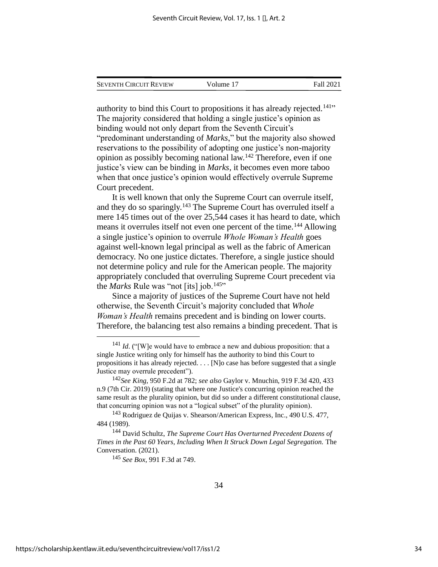|  | <b>SEVENTH CIRCUIT REVIEW</b> | Volume 17 | Fall 2021 |
|--|-------------------------------|-----------|-----------|
|--|-------------------------------|-----------|-----------|

authority to bind this Court to propositions it has already rejected.<sup>141</sup>" The majority considered that holding a single justice's opinion as binding would not only depart from the Seventh Circuit's "predominant understanding of *Marks*," but the majority also showed reservations to the possibility of adopting one justice's non-majority opinion as possibly becoming national law.<sup>142</sup> Therefore, even if one justice's view can be binding in *Marks*, it becomes even more taboo when that once justice's opinion would effectively overrule Supreme Court precedent.

It is well known that only the Supreme Court can overrule itself, and they do so sparingly.<sup>143</sup> The Supreme Court has overruled itself a mere 145 times out of the over 25,544 cases it has heard to date, which means it overrules itself not even one percent of the time.<sup>144</sup> Allowing a single justice's opinion to overrule *Whole Woman's Health* goes against well-known legal principal as well as the fabric of American democracy. No one justice dictates. Therefore, a single justice should not determine policy and rule for the American people. The majority appropriately concluded that overruling Supreme Court precedent via the *Marks* Rule was "not [its] job.<sup>145</sup>"

Since a majority of justices of the Supreme Court have not held otherwise, the Seventh Circuit's majority concluded that *Whole Woman's Health* remains precedent and is binding on lower courts. Therefore, the balancing test also remains a binding precedent. That is

<sup>145</sup> *See Box*, 991 F.3d at 749.

<sup>&</sup>lt;sup>141</sup> *Id.* ("[W]e would have to embrace a new and dubious proposition: that a single Justice writing only for himself has the authority to bind this Court to propositions it has already rejected. . . . [N]o case has before suggested that a single Justice may overrule precedent").

<sup>142</sup>*See King*, 950 F.2d at 782; *see also* Gaylor v. Mnuchin, 919 F.3d 420, 433 n.9 (7th Cir. 2019) (stating that where one Justice's concurring opinion reached the same result as the plurality opinion, but did so under a different constitutional clause, that concurring opinion was not a "logical subset" of the plurality opinion).

<sup>&</sup>lt;sup>143</sup> Rodriguez de Quijas v. Shearson/American Express, Inc., 490 U.S. 477, 484 (1989).

<sup>144</sup> David Schultz, *The Supreme Court Has Overturned Precedent Dozens of Times in the Past 60 Years, Including When It Struck Down Legal Segregation.* The Conversation. (2021).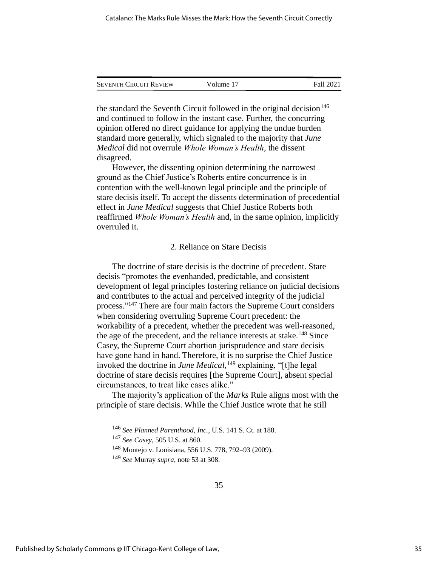| <b>SEVENTH CIRCUIT REVIEW</b> | Volume 17 | Fall 2021 |
|-------------------------------|-----------|-----------|
|                               |           |           |

the standard the Seventh Circuit followed in the original decision  $146$ and continued to follow in the instant case. Further, the concurring opinion offered no direct guidance for applying the undue burden standard more generally, which signaled to the majority that *June Medical* did not overrule *Whole Woman's Health*, the dissent disagreed.

However, the dissenting opinion determining the narrowest ground as the Chief Justice's Roberts entire concurrence is in contention with the well-known legal principle and the principle of stare decisis itself. To accept the dissents determination of precedential effect in *June Medical* suggests that Chief Justice Roberts both reaffirmed *Whole Woman's Health* and, in the same opinion, implicitly overruled it.

#### 2. Reliance on Stare Decisis

The doctrine of stare decisis is the doctrine of precedent. Stare decisis "promotes the evenhanded, predictable, and consistent development of legal principles fostering reliance on judicial decisions and contributes to the actual and perceived integrity of the judicial process." <sup>147</sup> There are four main factors the Supreme Court considers when considering overruling Supreme Court precedent: the workability of a precedent, whether the precedent was well-reasoned, the age of the precedent, and the reliance interests at stake.<sup>148</sup> Since Casey, the Supreme Court abortion jurisprudence and stare decisis have gone hand in hand. Therefore, it is no surprise the Chief Justice invoked the doctrine in *June Medical*, <sup>149</sup> explaining, "[t]he legal doctrine of stare decisis requires [the Supreme Court], absent special circumstances, to treat like cases alike."

The majority's application of the *Marks* Rule aligns most with the principle of stare decisis. While the Chief Justice wrote that he still

<sup>146</sup> *See Planned Parenthood, Inc.,* U.S. 141 S. Ct. at 188.

<sup>147</sup> *See Casey*, 505 U.S. at 860.

<sup>148</sup> Montejo v. Louisiana, 556 U.S. 778, 792–93 (2009).

<sup>149</sup> *See* Murray *supra*, note 53 at 308.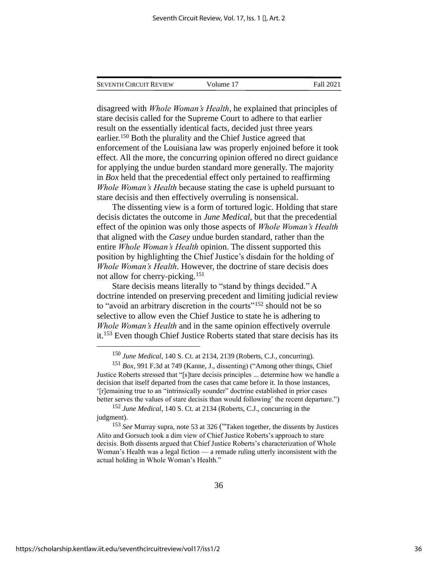| <b>SEVENTH CIRCUIT REVIEW</b> | Volume 17 | Fall 2021 |
|-------------------------------|-----------|-----------|
|                               |           |           |

disagreed with *Whole Woman's Health*, he explained that principles of stare decisis called for the Supreme Court to adhere to that earlier result on the essentially identical facts, decided just three years earlier.<sup>150</sup> Both the plurality and the Chief Justice agreed that enforcement of the Louisiana law was properly enjoined before it took effect. All the more, the concurring opinion offered no direct guidance for applying the undue burden standard more generally. The majority in *Box* held that the precedential effect only pertained to reaffirming *Whole Woman's Health* because stating the case is upheld pursuant to stare decisis and then effectively overruling is nonsensical.

The dissenting view is a form of tortured logic. Holding that stare decisis dictates the outcome in *June Medical*, but that the precedential effect of the opinion was only those aspects of *Whole Woman's Health* that aligned with the *Casey* undue burden standard, rather than the entire *Whole Woman's Health* opinion. The dissent supported this position by highlighting the Chief Justice's disdain for the holding of *Whole Woman's Health*. However, the doctrine of stare decisis does not allow for cherry-picking.<sup>151</sup>

Stare decisis means literally to "stand by things decided." A doctrine intended on preserving precedent and limiting judicial review to "avoid an arbitrary discretion in the courts"<sup>152</sup> should not be so selective to allow even the Chief Justice to state he is adhering to *Whole Woman's Health* and in the same opinion effectively overrule it.<sup>153</sup> Even though Chief Justice Roberts stated that stare decisis has its

<sup>150</sup> *June Medical*, 140 S. Ct. at 2134, 2139 (Roberts, C.J., concurring).

<sup>151</sup> *Box*, 991 F.3d at 749 (Kanne, J., dissenting) ("Among other things, Chief Justice Roberts stressed that "[s]tare decisis principles ... determine how we handle a decision that itself departed from the cases that came before it. In those instances, '[r]emaining true to an "intrinsically sounder" doctrine established in prior cases better serves the values of stare decisis than would following' the recent departure.")

<sup>152</sup> *June Medical*, 140 S. Ct. at 2134 (Roberts, C.J., concurring in the judgment).

<sup>153</sup> *See* Murray supra, note 53 at 326 ("Taken together, the dissents by Justices Alito and Gorsuch took a dim view of Chief Justice Roberts's approach to stare decisis. Both dissents argued that Chief Justice Roberts's characterization of Whole Woman's Health was a legal fiction — a remade ruling utterly inconsistent with the actual holding in Whole Woman's Health."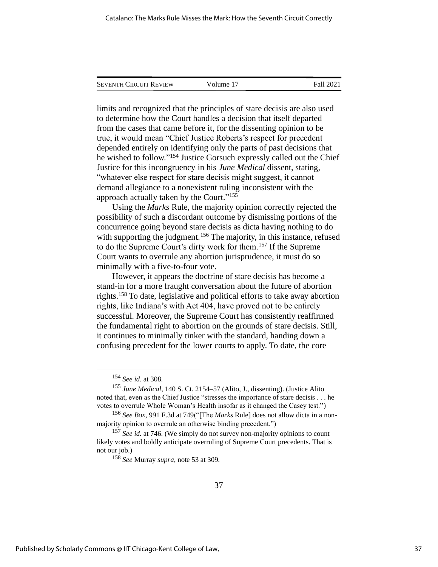| <b>SEVENTH CIRCUIT REVIEW</b> | Volume 17 | Fall 2021 |
|-------------------------------|-----------|-----------|
|                               |           |           |

limits and recognized that the principles of stare decisis are also used to determine how the Court handles a decision that itself departed from the cases that came before it, for the dissenting opinion to be true, it would mean "Chief Justice Roberts's respect for precedent depended entirely on identifying only the parts of past decisions that he wished to follow." <sup>154</sup> Justice Gorsuch expressly called out the Chief Justice for this incongruency in his *June Medical* dissent, stating, "whatever else respect for stare decisis might suggest, it cannot demand allegiance to a nonexistent ruling inconsistent with the approach actually taken by the Court."<sup>155</sup>

Using the *Marks* Rule, the majority opinion correctly rejected the possibility of such a discordant outcome by dismissing portions of the concurrence going beyond stare decisis as dicta having nothing to do with supporting the judgment.<sup>156</sup> The majority, in this instance, refused to do the Supreme Court's dirty work for them.<sup>157</sup> If the Supreme Court wants to overrule any abortion jurisprudence, it must do so minimally with a five-to-four vote.

However, it appears the doctrine of stare decisis has become a stand-in for a more fraught conversation about the future of abortion rights.<sup>158</sup> To date, legislative and political efforts to take away abortion rights, like Indiana's with Act 404, have proved not to be entirely successful. Moreover, the Supreme Court has consistently reaffirmed the fundamental right to abortion on the grounds of stare decisis. Still, it continues to minimally tinker with the standard, handing down a confusing precedent for the lower courts to apply. To date, the core

<sup>154</sup> *See id*. at 308.

<sup>155</sup> *June Medical*, 140 S. Ct. 2154–57 (Alito, J., dissenting). (Justice Alito noted that, even as the Chief Justice "stresses the importance of stare decisis . . . he votes to overrule Whole Woman's Health insofar as it changed the Casey test.")

<sup>156</sup> *See Box*, 991 F.3d at 749("[The *Marks* Rule] does not allow dicta in a nonmajority opinion to overrule an otherwise binding precedent.")

<sup>&</sup>lt;sup>157</sup> *See id.* at 746. (We simply do not survey non-majority opinions to count likely votes and boldly anticipate overruling of Supreme Court precedents. That is not our job.)

<sup>158</sup> *See* Murray *supra*, note 53 at 309*.*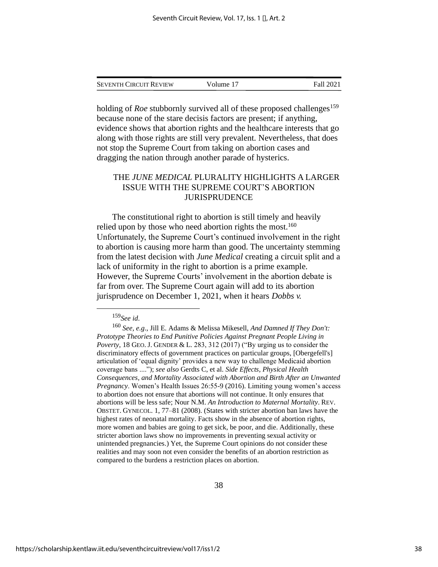| <b>SEVENTH CIRCUIT REVIEW</b> | Volume 17 | <b>Fall 2021</b> |
|-------------------------------|-----------|------------------|
|                               |           |                  |

holding of *Roe* stubbornly survived all of these proposed challenges<sup>159</sup> because none of the stare decisis factors are present; if anything, evidence shows that abortion rights and the healthcare interests that go along with those rights are still very prevalent. Nevertheless, that does not stop the Supreme Court from taking on abortion cases and dragging the nation through another parade of hysterics.

#### THE *JUNE MEDICAL* PLURALITY HIGHLIGHTS A LARGER ISSUE WITH THE SUPREME COURT'S ABORTION JURISPRUDENCE

The constitutional right to abortion is still timely and heavily relied upon by those who need abortion rights the most.<sup>160</sup> Unfortunately, the Supreme Court's continued involvement in the right to abortion is causing more harm than good. The uncertainty stemming from the latest decision with *June Medical* creating a circuit split and a lack of uniformity in the right to abortion is a prime example. However, the Supreme Courts' involvement in the abortion debate is far from over. The Supreme Court again will add to its abortion jurisprudence on December 1, 2021, when it hears *Dobbs v.* 

<sup>159</sup>*See id*.

<sup>160</sup> *See, e.g*., Jill E. Adams & Melissa Mikesell, *And Damned If They Don't: Prototype Theories to End Punitive Policies Against Pregnant People Living in Poverty*, 18 GEO. J. GENDER & L. 283, 312 (2017) ("By urging us to consider the discriminatory effects of government practices on particular groups, [Obergefell's] articulation of 'equal dignity' provides a new way to challenge Medicaid abortion coverage bans ...."); *see also* Gerdts C, et al. *Side Effects, Physical Health Consequences, and Mortality Associated with Abortion and Birth After an Unwanted Pregnancy*. Women's Health Issues 26:55-9 (2016). Limiting young women's access to abortion does not ensure that abortions will not continue. It only ensures that abortions will be less safe; Nour N.M. *An Introduction to Maternal Mortality*. REV. OBSTET. GYNECOL. 1, 77–81 (2008). (States with stricter abortion ban laws have the highest rates of neonatal mortality. Facts show in the absence of abortion rights, more women and babies are going to get sick, be poor, and die. Additionally, these stricter abortion laws show no improvements in preventing sexual activity or unintended pregnancies.) Yet, the Supreme Court opinions do not consider these realities and may soon not even consider the benefits of an abortion restriction as compared to the burdens a restriction places on abortion.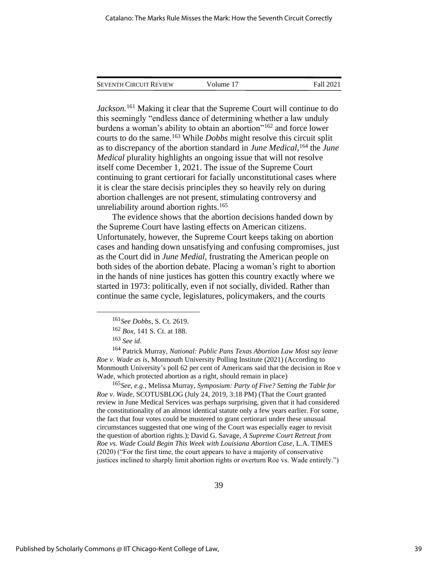| <b>SEVENTH CIRCUIT REVIEW</b> | Volume 17 | <b>Fall 2021</b> |
|-------------------------------|-----------|------------------|
|                               |           |                  |

*Jackson.*<sup>161</sup> Making it clear that the Supreme Court will continue to do this seemingly "endless dance of determining whether a law unduly burdens a woman's ability to obtain an abortion"<sup>162</sup> and force lower courts to do the same.<sup>163</sup> While *Dobbs* might resolve this circuit split as to discrepancy of the abortion standard in *June Medical*, <sup>164</sup> the *June Medical* plurality highlights an ongoing issue that will not resolve itself come December 1, 2021. The issue of the Supreme Court continuing to grant certiorari for facially unconstitutional cases where it is clear the stare decisis principles they so heavily rely on during abortion challenges are not present, stimulating controversy and unreliability around abortion rights.<sup>165</sup>

The evidence shows that the abortion decisions handed down by the Supreme Court have lasting effects on American citizens. Unfortunately, however, the Supreme Court keeps taking on abortion cases and handing down unsatisfying and confusing compromises, just as the Court did in *June Medial,* frustrating the American people on both sides of the abortion debate. Placing a woman's right to abortion in the hands of nine justices has gotten this country exactly where we started in 1973: politically, even if not socially, divided. Rather than continue the same cycle, legislatures, policymakers, and the courts

<sup>164</sup> Patrick Murray, *National: Public Pans Texas Abortion Law Most say leave Roe v. Wade as is*, Monmouth University Polling Institute (2021) (According to Monmouth University's poll 62 per cent of Americans said that the decision in Roe v Wade, which protected abortion as a right, should remain in place)

<sup>165</sup>*See, e.g.,* Melissa Murray*, Symposium: Party of Five? Setting the Table for Roe v. Wade*, SCOTUSBLOG (July 24, 2019, 3:18 PM) (That the Court granted review in June Medical Services was perhaps surprising, given that it had considered the constitutionality of an almost identical statute only a few years earlier. For some, the fact that four votes could be mustered to grant certiorari under these unusual circumstances suggested that one wing of the Court was especially eager to revisit the question of abortion rights.); David G. Savage, *A Supreme Court Retreat from Roe vs. Wade Could Begin This Week with Louisiana Abortion Case*, L.A. TIMES (2020) ("For the first time, the court appears to have a majority of conservative justices inclined to sharply limit abortion rights or overturn Roe vs. Wade entirely.")

<sup>161</sup>*See Dobbs*, S. Ct. 2619.

<sup>162</sup> *Box*, 141 S. Ct. at 188.

<sup>163</sup> *See id*.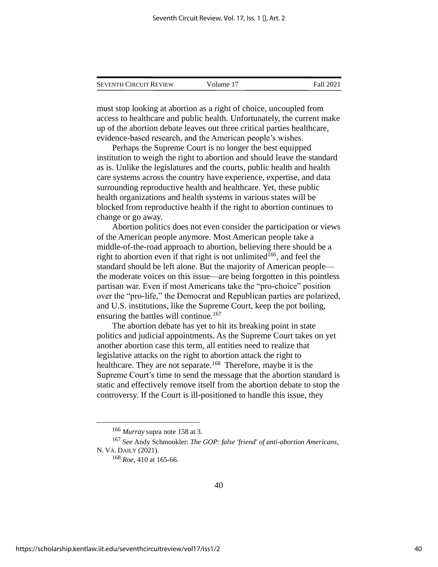| <b>SEVENTH CIRCUIT REVIEW</b> | Volume 17 | Fall 2021 |
|-------------------------------|-----------|-----------|
|                               |           |           |

must stop looking at abortion as a right of choice, uncoupled from access to healthcare and public health. Unfortunately, the current make up of the abortion debate leaves out three critical parties healthcare, evidence-based research, and the American people's wishes.

Perhaps the Supreme Court is no longer the best equipped institution to weigh the right to abortion and should leave the standard as is. Unlike the legislatures and the courts, public health and health care systems across the country have experience, expertise, and data surrounding reproductive health and healthcare. Yet, these public health organizations and health systems in various states will be blocked from reproductive health if the right to abortion continues to change or go away.

Abortion politics does not even consider the participation or views of the American people anymore. Most American people take a middle-of-the-road approach to abortion, believing there should be a right to abortion even if that right is not unlimited<sup>166</sup>, and feel the standard should be left alone. But the majority of American people the moderate voices on this issue—are being forgotten in this pointless partisan war. Even if most Americans take the "pro-choice" position over the "pro-life," the Democrat and Republican parties are polarized, and U.S. institutions, like the Supreme Court, keep the pot boiling, ensuring the battles will continue.<sup>167</sup>

The abortion debate has yet to hit its breaking point in state politics and judicial appointments. As the Supreme Court takes on yet another abortion case this term, all entities need to realize that legislative attacks on the right to abortion attack the right to healthcare. They are not separate.<sup>168</sup> Therefore, maybe it is the Supreme Court's time to send the message that the abortion standard is static and effectively remove itself from the abortion debate to stop the controversy. If the Court is ill-positioned to handle this issue, they

<sup>166</sup> *Murray* supra note 158 at 3.

<sup>167</sup> *See* Andy Schmookler: *The GOP: false 'friend' of anti-abortion Americans*, N. VA. DAILY (2021).

<sup>168</sup> *Roe*, 410 at 165-66.